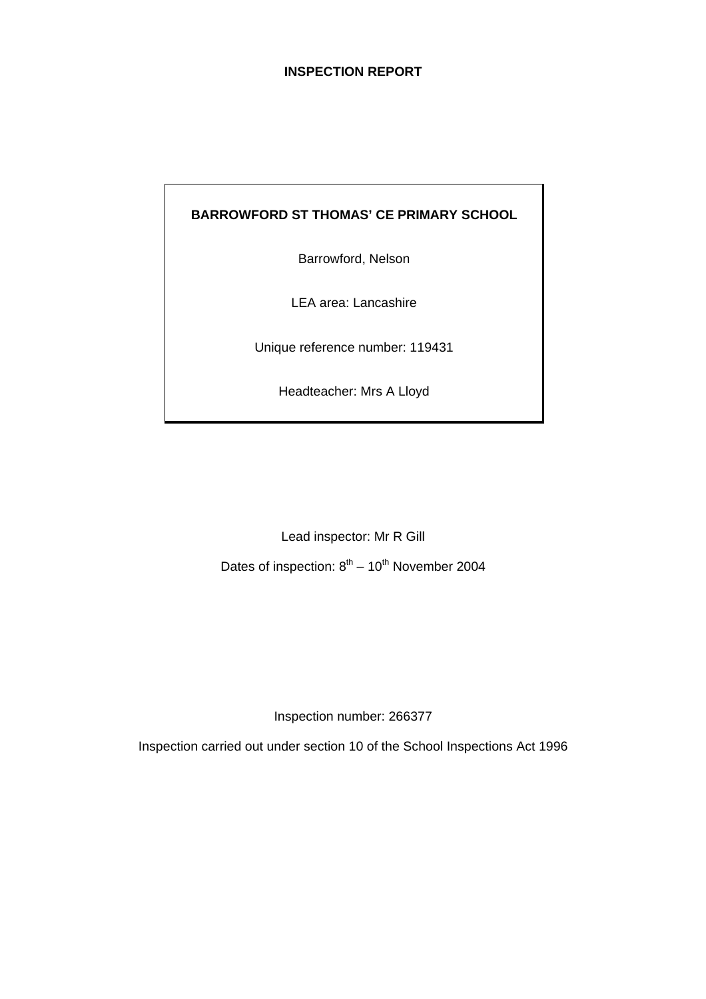# **INSPECTION REPORT**

## **BARROWFORD ST THOMAS' CE PRIMARY SCHOOL**

Barrowford, Nelson

LEA area: Lancashire

Unique reference number: 119431

Headteacher: Mrs A Lloyd

Lead inspector: Mr R Gill

Dates of inspection:  $8<sup>th</sup> - 10<sup>th</sup>$  November 2004

Inspection number: 266377

Inspection carried out under section 10 of the School Inspections Act 1996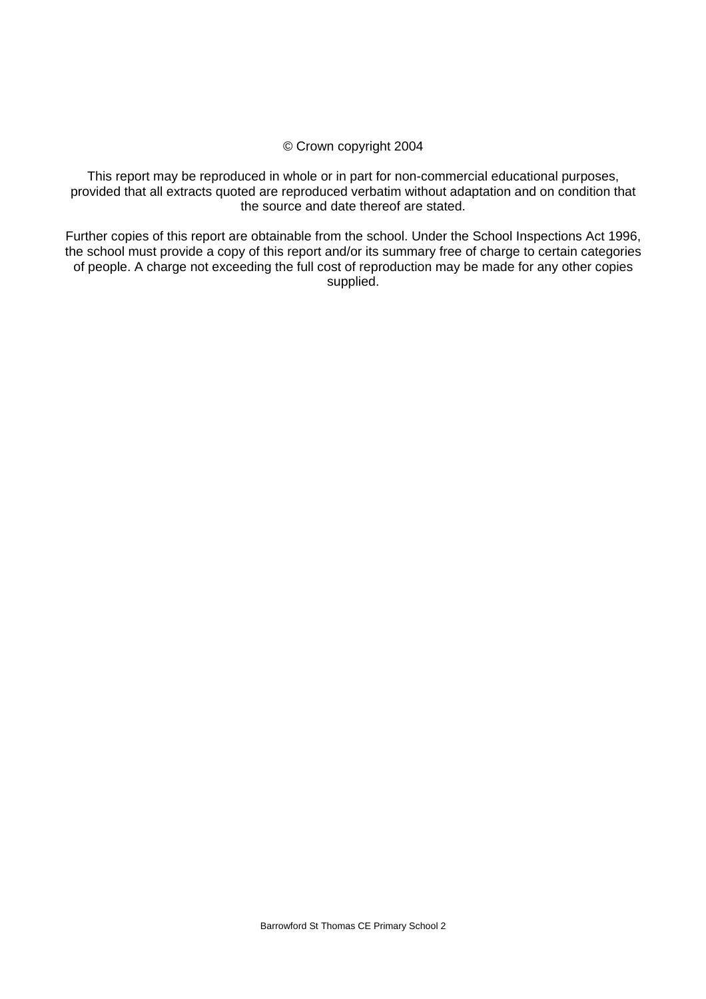#### © Crown copyright 2004

This report may be reproduced in whole or in part for non-commercial educational purposes, provided that all extracts quoted are reproduced verbatim without adaptation and on condition that the source and date thereof are stated.

Further copies of this report are obtainable from the school. Under the School Inspections Act 1996, the school must provide a copy of this report and/or its summary free of charge to certain categories of people. A charge not exceeding the full cost of reproduction may be made for any other copies supplied.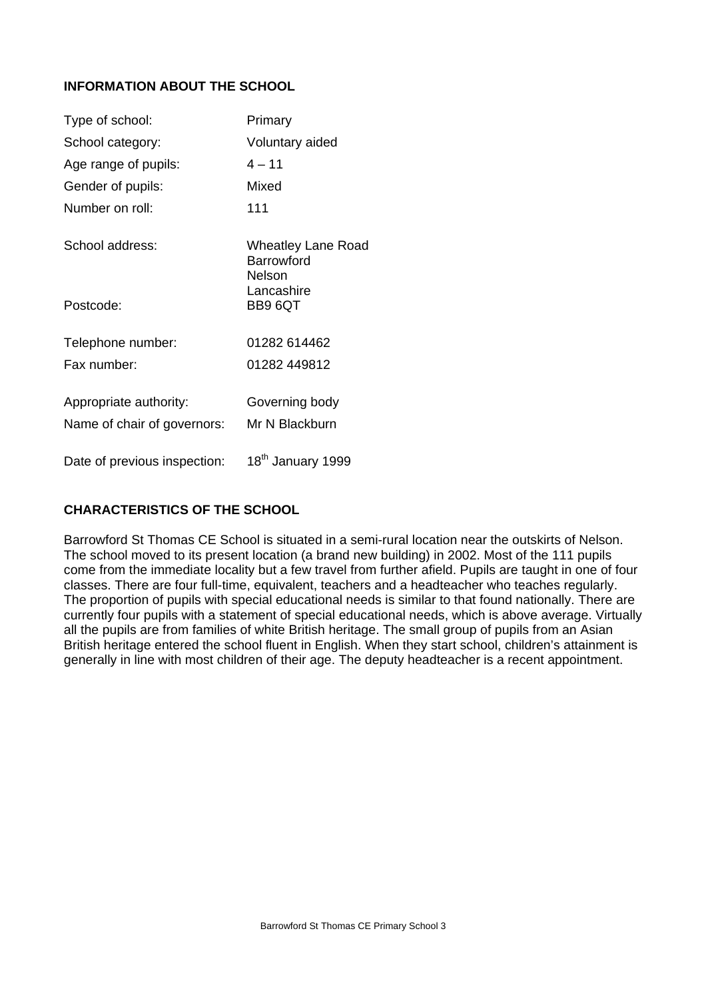# **INFORMATION ABOUT THE SCHOOL**

| Type of school:              | Primary                                                  |
|------------------------------|----------------------------------------------------------|
| School category:             | Voluntary aided                                          |
| Age range of pupils:         | $4 - 11$                                                 |
| Gender of pupils:            | Mixed                                                    |
| Number on roll:              | 111                                                      |
| School address:              | <b>Wheatley Lane Road</b><br><b>Barrowford</b><br>Nelson |
| Postcode:                    | Lancashire<br>BB9 6QT                                    |
| Telephone number:            | 01282 614462                                             |
| Fax number:                  | 01282 449812                                             |
| Appropriate authority:       | Governing body                                           |
| Name of chair of governors:  | Mr N Blackburn                                           |
| Date of previous inspection: | 18 <sup>th</sup> January 1999                            |

# **CHARACTERISTICS OF THE SCHOOL**

Barrowford St Thomas CE School is situated in a semi-rural location near the outskirts of Nelson. The school moved to its present location (a brand new building) in 2002. Most of the 111 pupils come from the immediate locality but a few travel from further afield. Pupils are taught in one of four classes. There are four full-time, equivalent, teachers and a headteacher who teaches regularly. The proportion of pupils with special educational needs is similar to that found nationally. There are currently four pupils with a statement of special educational needs, which is above average. Virtually all the pupils are from families of white British heritage. The small group of pupils from an Asian British heritage entered the school fluent in English. When they start school, children's attainment is generally in line with most children of their age. The deputy headteacher is a recent appointment.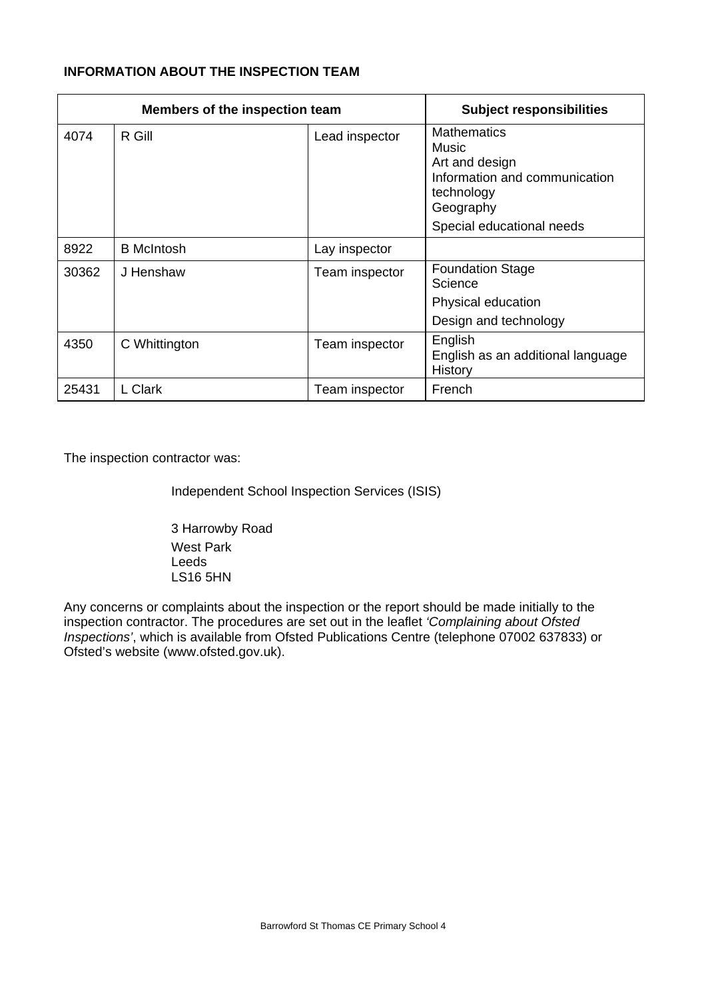# **INFORMATION ABOUT THE INSPECTION TEAM**

|       | Members of the inspection team |                | <b>Subject responsibilities</b>                                                                                                        |
|-------|--------------------------------|----------------|----------------------------------------------------------------------------------------------------------------------------------------|
| 4074  | R Gill                         | Lead inspector | <b>Mathematics</b><br>Music<br>Art and design<br>Information and communication<br>technology<br>Geography<br>Special educational needs |
| 8922  | <b>B</b> McIntosh              | Lay inspector  |                                                                                                                                        |
| 30362 | J Henshaw                      | Team inspector | <b>Foundation Stage</b><br>Science<br>Physical education<br>Design and technology                                                      |
| 4350  | C Whittington                  | Team inspector | English<br>English as an additional language<br>History                                                                                |
| 25431 | L Clark                        | Team inspector | French                                                                                                                                 |

The inspection contractor was:

Independent School Inspection Services (ISIS)

 3 Harrowby Road West Park Leeds LS16 5HN

Any concerns or complaints about the inspection or the report should be made initially to the inspection contractor. The procedures are set out in the leaflet *'Complaining about Ofsted Inspections'*, which is available from Ofsted Publications Centre (telephone 07002 637833) or Ofsted's website (www.ofsted.gov.uk).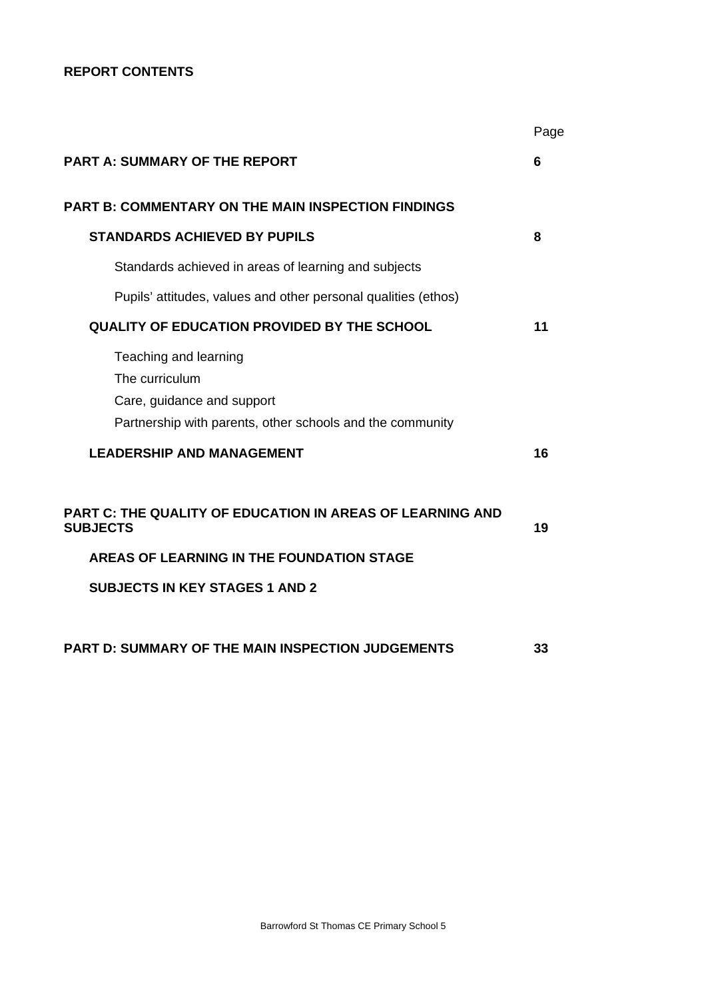# **REPORT CONTENTS**

|                                                                                                                                                                    | Page |
|--------------------------------------------------------------------------------------------------------------------------------------------------------------------|------|
| PART A: SUMMARY OF THE REPORT                                                                                                                                      | 6    |
| <b>PART B: COMMENTARY ON THE MAIN INSPECTION FINDINGS</b>                                                                                                          |      |
| <b>STANDARDS ACHIEVED BY PUPILS</b>                                                                                                                                | 8    |
| Standards achieved in areas of learning and subjects                                                                                                               |      |
| Pupils' attitudes, values and other personal qualities (ethos)                                                                                                     |      |
| <b>QUALITY OF EDUCATION PROVIDED BY THE SCHOOL</b>                                                                                                                 | 11   |
| Teaching and learning<br>The curriculum<br>Care, guidance and support<br>Partnership with parents, other schools and the community                                 |      |
| <b>LEADERSHIP AND MANAGEMENT</b>                                                                                                                                   | 16   |
| PART C: THE QUALITY OF EDUCATION IN AREAS OF LEARNING AND<br><b>SUBJECTS</b><br>AREAS OF LEARNING IN THE FOUNDATION STAGE<br><b>SUBJECTS IN KEY STAGES 1 AND 2</b> | 19   |
| PART D: SUMMARY OF THE MAIN INSPECTION JUDGEMENTS                                                                                                                  | 33   |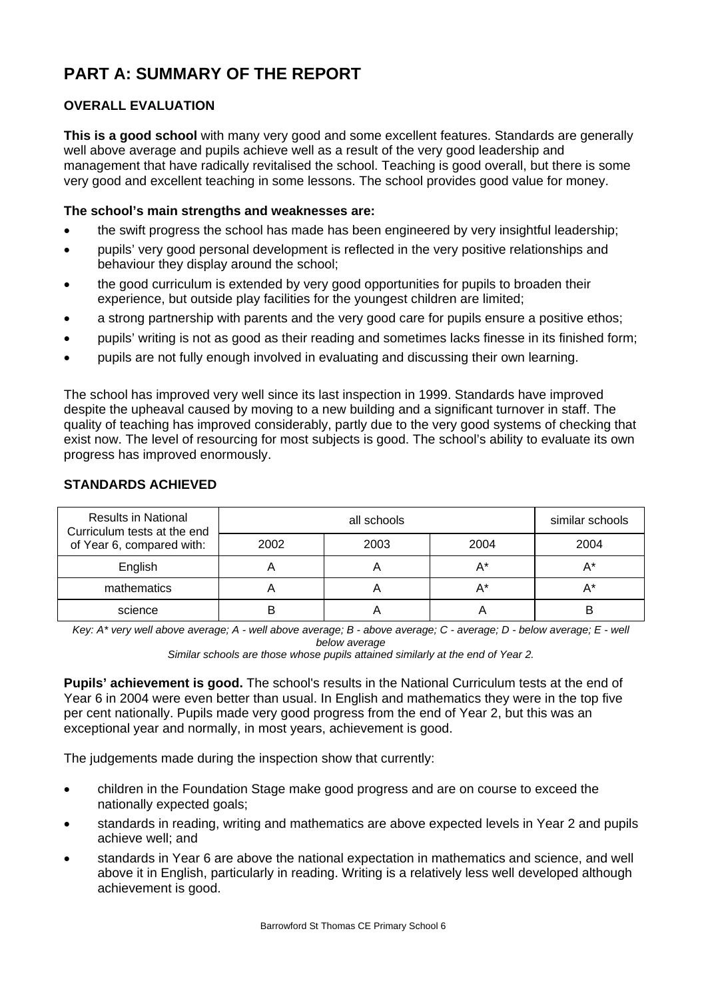# **PART A: SUMMARY OF THE REPORT**

# **OVERALL EVALUATION**

**This is a good school** with many very good and some excellent features. Standards are generally well above average and pupils achieve well as a result of the very good leadership and management that have radically revitalised the school. Teaching is good overall, but there is some very good and excellent teaching in some lessons. The school provides good value for money.

## **The school's main strengths and weaknesses are:**

- the swift progress the school has made has been engineered by very insightful leadership;
- pupils' very good personal development is reflected in the very positive relationships and behaviour they display around the school;
- the good curriculum is extended by very good opportunities for pupils to broaden their experience, but outside play facilities for the youngest children are limited;
- a strong partnership with parents and the very good care for pupils ensure a positive ethos;
- pupils' writing is not as good as their reading and sometimes lacks finesse in its finished form;
- pupils are not fully enough involved in evaluating and discussing their own learning.

The school has improved very well since its last inspection in 1999. Standards have improved despite the upheaval caused by moving to a new building and a significant turnover in staff. The quality of teaching has improved considerably, partly due to the very good systems of checking that exist now. The level of resourcing for most subjects is good. The school's ability to evaluate its own progress has improved enormously.

| <b>Results in National</b><br>Curriculum tests at the end<br>of Year 6, compared with: |      | similar schools |       |      |
|----------------------------------------------------------------------------------------|------|-----------------|-------|------|
|                                                                                        | 2002 | 2003            | 2004  | 2004 |
| English                                                                                |      |                 | $A^*$ | А*   |
| mathematics                                                                            |      |                 | A*    | А*   |
| science                                                                                |      |                 |       | B    |

#### **STANDARDS ACHIEVED**

Key: A<sup>\*</sup> very well above average; A - well above average; B - above average; C - average; D - below average; E - well *below average* 

*Similar schools are those whose pupils attained similarly at the end of Year 2.* 

**Pupils' achievement is good.** The school's results in the National Curriculum tests at the end of Year 6 in 2004 were even better than usual. In English and mathematics they were in the top five per cent nationally. Pupils made very good progress from the end of Year 2, but this was an exceptional year and normally, in most years, achievement is good.

The judgements made during the inspection show that currently:

- children in the Foundation Stage make good progress and are on course to exceed the nationally expected goals;
- standards in reading, writing and mathematics are above expected levels in Year 2 and pupils achieve well; and
- standards in Year 6 are above the national expectation in mathematics and science, and well above it in English, particularly in reading. Writing is a relatively less well developed although achievement is good.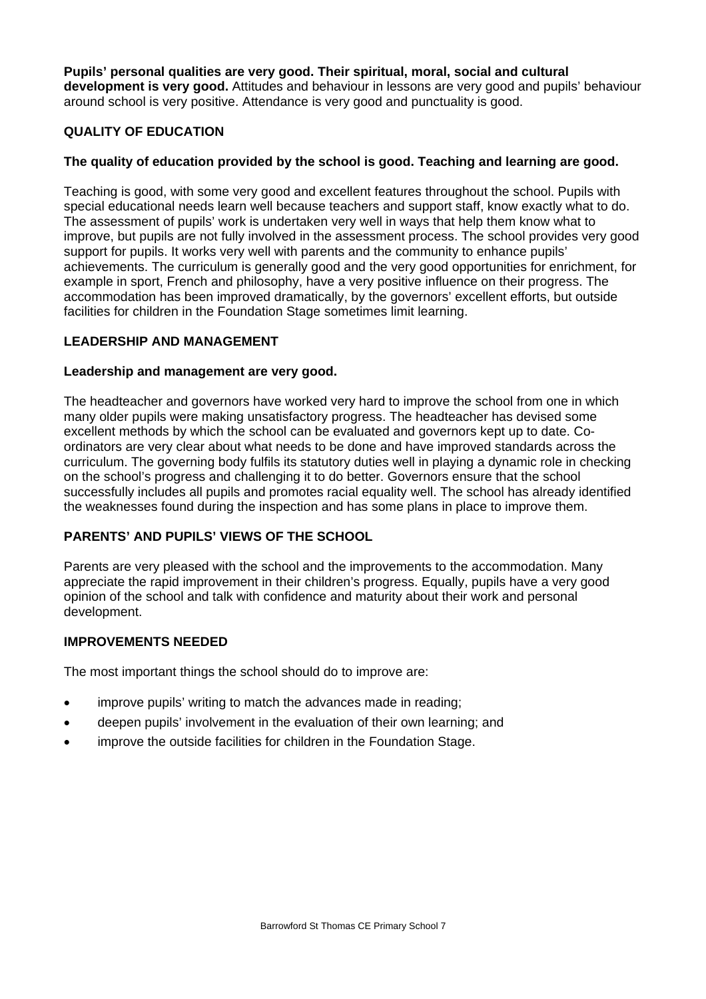**Pupils' personal qualities are very good. Their spiritual, moral, social and cultural development is very good.** Attitudes and behaviour in lessons are very good and pupils' behaviour around school is very positive. Attendance is very good and punctuality is good.

# **QUALITY OF EDUCATION**

## **The quality of education provided by the school is good. Teaching and learning are good.**

Teaching is good, with some very good and excellent features throughout the school. Pupils with special educational needs learn well because teachers and support staff, know exactly what to do. The assessment of pupils' work is undertaken very well in ways that help them know what to improve, but pupils are not fully involved in the assessment process. The school provides very good support for pupils. It works very well with parents and the community to enhance pupils' achievements. The curriculum is generally good and the very good opportunities for enrichment, for example in sport, French and philosophy, have a very positive influence on their progress. The accommodation has been improved dramatically, by the governors' excellent efforts, but outside facilities for children in the Foundation Stage sometimes limit learning.

#### **LEADERSHIP AND MANAGEMENT**

#### **Leadership and management are very good.**

The headteacher and governors have worked very hard to improve the school from one in which many older pupils were making unsatisfactory progress. The headteacher has devised some excellent methods by which the school can be evaluated and governors kept up to date. Coordinators are very clear about what needs to be done and have improved standards across the curriculum. The governing body fulfils its statutory duties well in playing a dynamic role in checking on the school's progress and challenging it to do better. Governors ensure that the school successfully includes all pupils and promotes racial equality well. The school has already identified the weaknesses found during the inspection and has some plans in place to improve them.

#### **PARENTS' AND PUPILS' VIEWS OF THE SCHOOL**

Parents are very pleased with the school and the improvements to the accommodation. Many appreciate the rapid improvement in their children's progress. Equally, pupils have a very good opinion of the school and talk with confidence and maturity about their work and personal development.

#### **IMPROVEMENTS NEEDED**

The most important things the school should do to improve are:

- improve pupils' writing to match the advances made in reading;
- deepen pupils' involvement in the evaluation of their own learning; and
- improve the outside facilities for children in the Foundation Stage.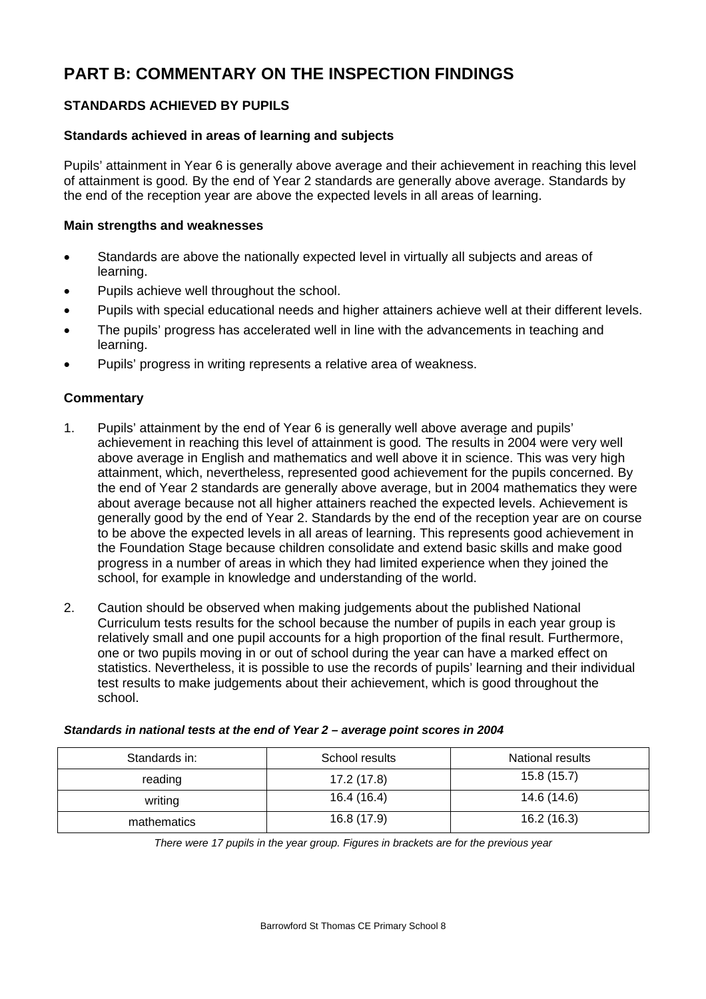# **PART B: COMMENTARY ON THE INSPECTION FINDINGS**

# **STANDARDS ACHIEVED BY PUPILS**

#### **Standards achieved in areas of learning and subjects**

Pupils' attainment in Year 6 is generally above average and their achievement in reaching this level of attainment is good*.* By the end of Year 2 standards are generally above average. Standards by the end of the reception year are above the expected levels in all areas of learning.

#### **Main strengths and weaknesses**

- Standards are above the nationally expected level in virtually all subjects and areas of learning.
- Pupils achieve well throughout the school.
- Pupils with special educational needs and higher attainers achieve well at their different levels.
- The pupils' progress has accelerated well in line with the advancements in teaching and learning.
- Pupils' progress in writing represents a relative area of weakness.

#### **Commentary**

- 1. Pupils' attainment by the end of Year 6 is generally well above average and pupils' achievement in reaching this level of attainment is good*.* The results in 2004 were very well above average in English and mathematics and well above it in science. This was very high attainment, which, nevertheless, represented good achievement for the pupils concerned. By the end of Year 2 standards are generally above average, but in 2004 mathematics they were about average because not all higher attainers reached the expected levels. Achievement is generally good by the end of Year 2. Standards by the end of the reception year are on course to be above the expected levels in all areas of learning. This represents good achievement in the Foundation Stage because children consolidate and extend basic skills and make good progress in a number of areas in which they had limited experience when they joined the school, for example in knowledge and understanding of the world.
- 2. Caution should be observed when making judgements about the published National Curriculum tests results for the school because the number of pupils in each year group is relatively small and one pupil accounts for a high proportion of the final result. Furthermore, one or two pupils moving in or out of school during the year can have a marked effect on statistics. Nevertheless, it is possible to use the records of pupils' learning and their individual test results to make judgements about their achievement, which is good throughout the school.

| Standards in: | School results | National results |
|---------------|----------------|------------------|
| reading       | 17.2(17.8)     | 15.8(15.7)       |
| writing       | 16.4(16.4)     | 14.6 (14.6)      |
| mathematics   | 16.8 (17.9)    | 16.2(16.3)       |

*Standards in national tests at the end of Year 2 – average point scores in 2004* 

*There were 17 pupils in the year group. Figures in brackets are for the previous year*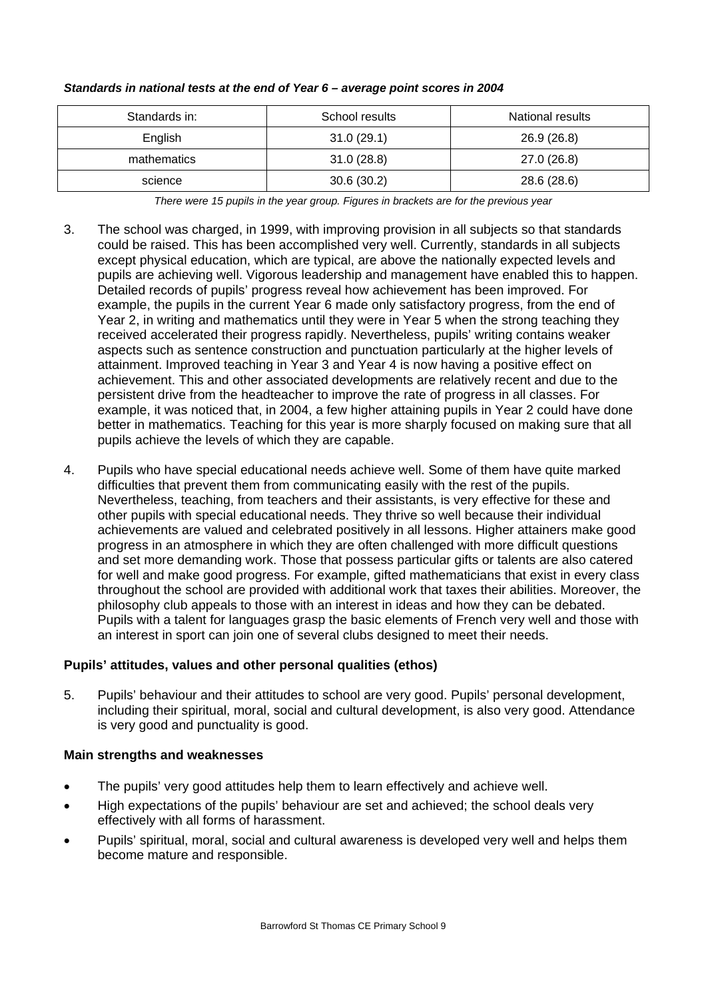| Standards in: | School results | National results |
|---------------|----------------|------------------|
| English       | 31.0(29.1)     | 26.9(26.8)       |
| mathematics   | 31.0(28.8)     | 27.0 (26.8)      |
| science       | 30.6(30.2)     | 28.6 (28.6)      |

#### *Standards in national tests at the end of Year 6 – average point scores in 2004*

*There were 15 pupils in the year group. Figures in brackets are for the previous year* 

- 3. The school was charged, in 1999, with improving provision in all subjects so that standards could be raised. This has been accomplished very well. Currently, standards in all subjects except physical education, which are typical, are above the nationally expected levels and pupils are achieving well. Vigorous leadership and management have enabled this to happen. Detailed records of pupils' progress reveal how achievement has been improved. For example, the pupils in the current Year 6 made only satisfactory progress, from the end of Year 2, in writing and mathematics until they were in Year 5 when the strong teaching they received accelerated their progress rapidly. Nevertheless, pupils' writing contains weaker aspects such as sentence construction and punctuation particularly at the higher levels of attainment. Improved teaching in Year 3 and Year 4 is now having a positive effect on achievement. This and other associated developments are relatively recent and due to the persistent drive from the headteacher to improve the rate of progress in all classes. For example, it was noticed that, in 2004, a few higher attaining pupils in Year 2 could have done better in mathematics. Teaching for this year is more sharply focused on making sure that all pupils achieve the levels of which they are capable.
- 4. Pupils who have special educational needs achieve well. Some of them have quite marked difficulties that prevent them from communicating easily with the rest of the pupils. Nevertheless, teaching, from teachers and their assistants, is very effective for these and other pupils with special educational needs. They thrive so well because their individual achievements are valued and celebrated positively in all lessons. Higher attainers make good progress in an atmosphere in which they are often challenged with more difficult questions and set more demanding work. Those that possess particular gifts or talents are also catered for well and make good progress. For example, gifted mathematicians that exist in every class throughout the school are provided with additional work that taxes their abilities. Moreover, the philosophy club appeals to those with an interest in ideas and how they can be debated. Pupils with a talent for languages grasp the basic elements of French very well and those with an interest in sport can join one of several clubs designed to meet their needs.

# **Pupils' attitudes, values and other personal qualities (ethos)**

5. Pupils' behaviour and their attitudes to school are very good. Pupils' personal development, including their spiritual, moral, social and cultural development, is also very good. Attendance is very good and punctuality is good.

- The pupils' very good attitudes help them to learn effectively and achieve well.
- High expectations of the pupils' behaviour are set and achieved; the school deals very effectively with all forms of harassment.
- Pupils' spiritual, moral, social and cultural awareness is developed very well and helps them become mature and responsible.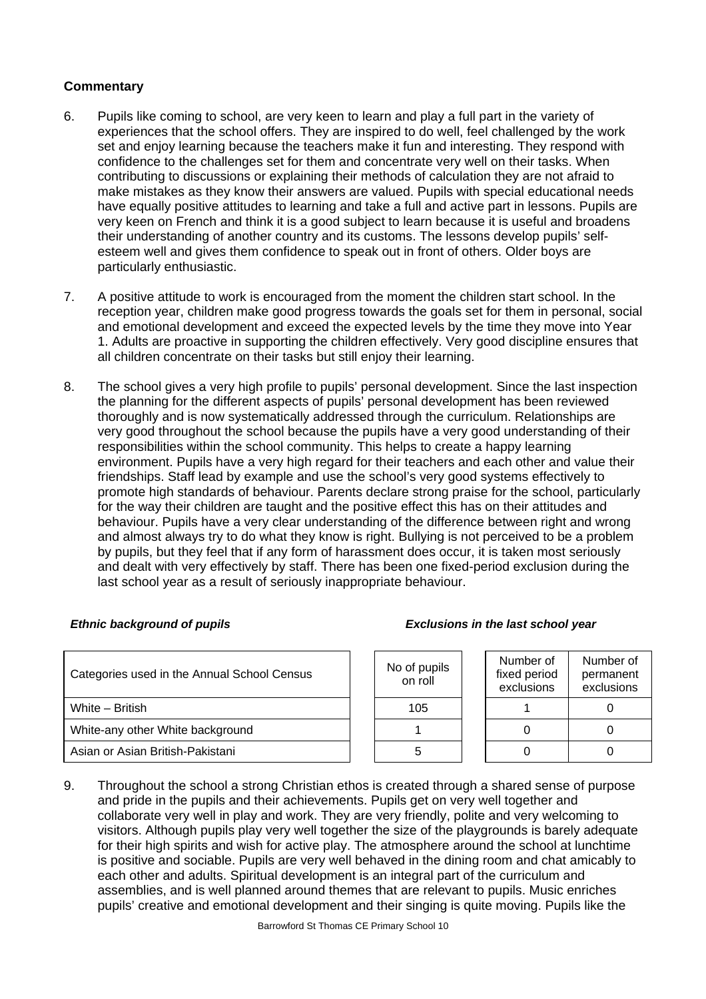- 6. Pupils like coming to school, are very keen to learn and play a full part in the variety of experiences that the school offers. They are inspired to do well, feel challenged by the work set and enjoy learning because the teachers make it fun and interesting. They respond with confidence to the challenges set for them and concentrate very well on their tasks. When contributing to discussions or explaining their methods of calculation they are not afraid to make mistakes as they know their answers are valued. Pupils with special educational needs have equally positive attitudes to learning and take a full and active part in lessons. Pupils are very keen on French and think it is a good subject to learn because it is useful and broadens their understanding of another country and its customs. The lessons develop pupils' selfesteem well and gives them confidence to speak out in front of others. Older boys are particularly enthusiastic.
- 7. A positive attitude to work is encouraged from the moment the children start school. In the reception year, children make good progress towards the goals set for them in personal, social and emotional development and exceed the expected levels by the time they move into Year 1. Adults are proactive in supporting the children effectively. Very good discipline ensures that all children concentrate on their tasks but still enjoy their learning.
- 8. The school gives a very high profile to pupils' personal development. Since the last inspection the planning for the different aspects of pupils' personal development has been reviewed thoroughly and is now systematically addressed through the curriculum. Relationships are very good throughout the school because the pupils have a very good understanding of their responsibilities within the school community. This helps to create a happy learning environment. Pupils have a very high regard for their teachers and each other and value their friendships. Staff lead by example and use the school's very good systems effectively to promote high standards of behaviour. Parents declare strong praise for the school, particularly for the way their children are taught and the positive effect this has on their attitudes and behaviour. Pupils have a very clear understanding of the difference between right and wrong and almost always try to do what they know is right. Bullying is not perceived to be a problem by pupils, but they feel that if any form of harassment does occur, it is taken most seriously and dealt with very effectively by staff. There has been one fixed-period exclusion during the last school year as a result of seriously inappropriate behaviour.

| Categories used in the Annual School Census | No of pupils<br>on roll | Number of<br>fixed period<br>exclusions | Number of<br>permanent<br>exclusions |
|---------------------------------------------|-------------------------|-----------------------------------------|--------------------------------------|
| White - British                             | 105                     |                                         |                                      |
| White-any other White background            |                         |                                         |                                      |
| Asian or Asian British-Pakistani            |                         |                                         |                                      |

9. Throughout the school a strong Christian ethos is created through a shared sense of purpose and pride in the pupils and their achievements. Pupils get on very well together and collaborate very well in play and work. They are very friendly, polite and very welcoming to visitors. Although pupils play very well together the size of the playgrounds is barely adequate for their high spirits and wish for active play. The atmosphere around the school at lunchtime is positive and sociable. Pupils are very well behaved in the dining room and chat amicably to each other and adults. Spiritual development is an integral part of the curriculum and assemblies, and is well planned around themes that are relevant to pupils. Music enriches pupils' creative and emotional development and their singing is quite moving. Pupils like the

#### *Ethnic background of pupils Exclusions in the last school year*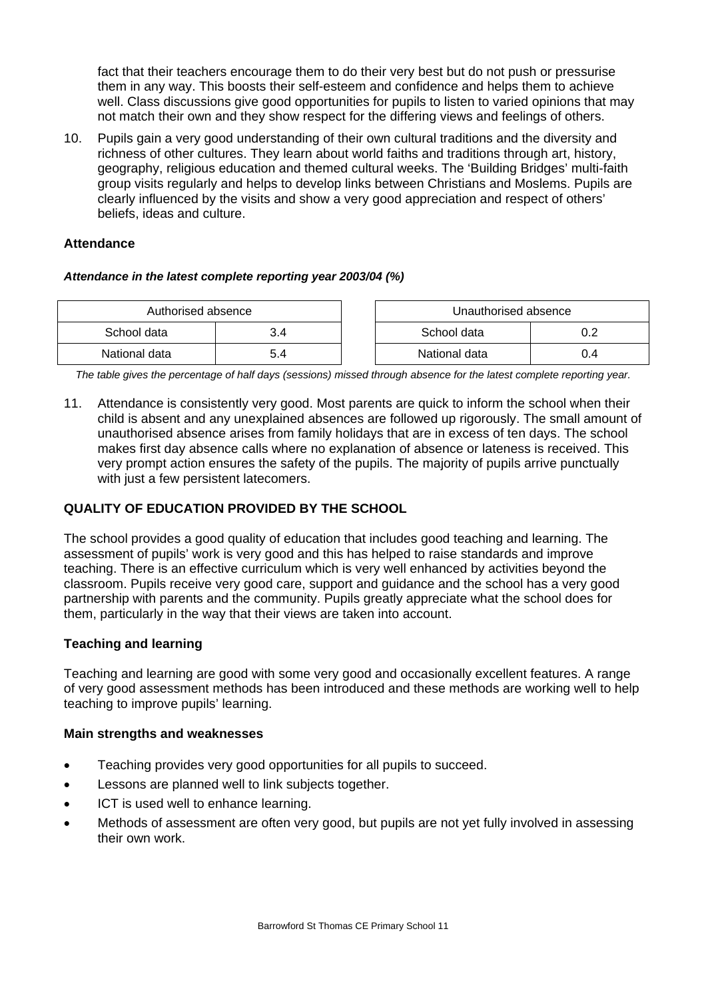fact that their teachers encourage them to do their very best but do not push or pressurise them in any way. This boosts their self-esteem and confidence and helps them to achieve well. Class discussions give good opportunities for pupils to listen to varied opinions that may not match their own and they show respect for the differing views and feelings of others.

10. Pupils gain a very good understanding of their own cultural traditions and the diversity and richness of other cultures. They learn about world faiths and traditions through art, history, geography, religious education and themed cultural weeks. The 'Building Bridges' multi-faith group visits regularly and helps to develop links between Christians and Moslems. Pupils are clearly influenced by the visits and show a very good appreciation and respect of others' beliefs, ideas and culture.

### **Attendance**

#### *Attendance in the latest complete reporting year 2003/04 (%)*

| Authorised absence |     | Unauthorised absence |  |
|--------------------|-----|----------------------|--|
| School data        | 3.4 | School data          |  |
| National data      | 5.4 | National data        |  |

*The table gives the percentage of half days (sessions) missed through absence for the latest complete reporting year.*

11. Attendance is consistently very good. Most parents are quick to inform the school when their child is absent and any unexplained absences are followed up rigorously. The small amount of unauthorised absence arises from family holidays that are in excess of ten days. The school makes first day absence calls where no explanation of absence or lateness is received. This very prompt action ensures the safety of the pupils. The majority of pupils arrive punctually with just a few persistent latecomers.

# **QUALITY OF EDUCATION PROVIDED BY THE SCHOOL**

The school provides a good quality of education that includes good teaching and learning. The assessment of pupils' work is very good and this has helped to raise standards and improve teaching. There is an effective curriculum which is very well enhanced by activities beyond the classroom. Pupils receive very good care, support and guidance and the school has a very good partnership with parents and the community. Pupils greatly appreciate what the school does for them, particularly in the way that their views are taken into account.

#### **Teaching and learning**

Teaching and learning are good with some very good and occasionally excellent features. A range of very good assessment methods has been introduced and these methods are working well to help teaching to improve pupils' learning.

- Teaching provides very good opportunities for all pupils to succeed.
- Lessons are planned well to link subjects together.
- ICT is used well to enhance learning.
- Methods of assessment are often very good, but pupils are not yet fully involved in assessing their own work.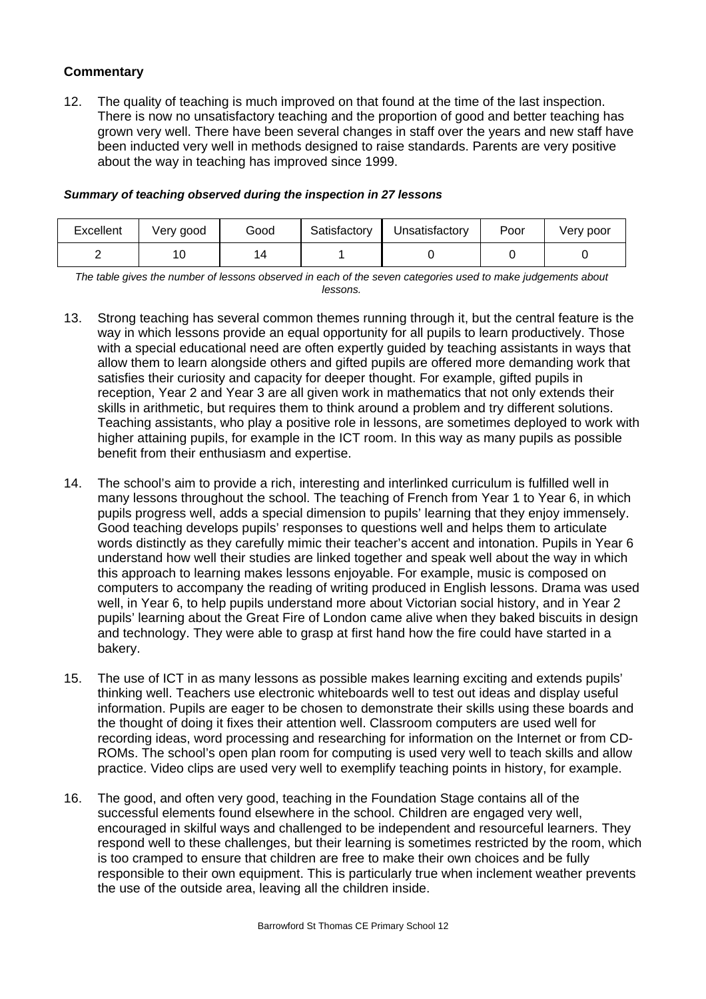12. The quality of teaching is much improved on that found at the time of the last inspection. There is now no unsatisfactory teaching and the proportion of good and better teaching has grown very well. There have been several changes in staff over the years and new staff have been inducted very well in methods designed to raise standards. Parents are very positive about the way in teaching has improved since 1999.

#### *Summary of teaching observed during the inspection in 27 lessons*

| Excellent | Very good | Good | Satisfactory | Unsatisfactory | Poor | Very poor |
|-----------|-----------|------|--------------|----------------|------|-----------|
|           | 10        |      |              |                |      |           |

*The table gives the number of lessons observed in each of the seven categories used to make judgements about lessons.* 

- 13. Strong teaching has several common themes running through it, but the central feature is the way in which lessons provide an equal opportunity for all pupils to learn productively. Those with a special educational need are often expertly guided by teaching assistants in ways that allow them to learn alongside others and gifted pupils are offered more demanding work that satisfies their curiosity and capacity for deeper thought. For example, gifted pupils in reception, Year 2 and Year 3 are all given work in mathematics that not only extends their skills in arithmetic, but requires them to think around a problem and try different solutions. Teaching assistants, who play a positive role in lessons, are sometimes deployed to work with higher attaining pupils, for example in the ICT room. In this way as many pupils as possible benefit from their enthusiasm and expertise.
- 14. The school's aim to provide a rich, interesting and interlinked curriculum is fulfilled well in many lessons throughout the school. The teaching of French from Year 1 to Year 6, in which pupils progress well, adds a special dimension to pupils' learning that they enjoy immensely. Good teaching develops pupils' responses to questions well and helps them to articulate words distinctly as they carefully mimic their teacher's accent and intonation. Pupils in Year 6 understand how well their studies are linked together and speak well about the way in which this approach to learning makes lessons enjoyable. For example, music is composed on computers to accompany the reading of writing produced in English lessons. Drama was used well, in Year 6, to help pupils understand more about Victorian social history, and in Year 2 pupils' learning about the Great Fire of London came alive when they baked biscuits in design and technology. They were able to grasp at first hand how the fire could have started in a bakery.
- 15. The use of ICT in as many lessons as possible makes learning exciting and extends pupils' thinking well. Teachers use electronic whiteboards well to test out ideas and display useful information. Pupils are eager to be chosen to demonstrate their skills using these boards and the thought of doing it fixes their attention well. Classroom computers are used well for recording ideas, word processing and researching for information on the Internet or from CD-ROMs. The school's open plan room for computing is used very well to teach skills and allow practice. Video clips are used very well to exemplify teaching points in history, for example.
- 16. The good, and often very good, teaching in the Foundation Stage contains all of the successful elements found elsewhere in the school. Children are engaged very well, encouraged in skilful ways and challenged to be independent and resourceful learners. They respond well to these challenges, but their learning is sometimes restricted by the room, which is too cramped to ensure that children are free to make their own choices and be fully responsible to their own equipment. This is particularly true when inclement weather prevents the use of the outside area, leaving all the children inside.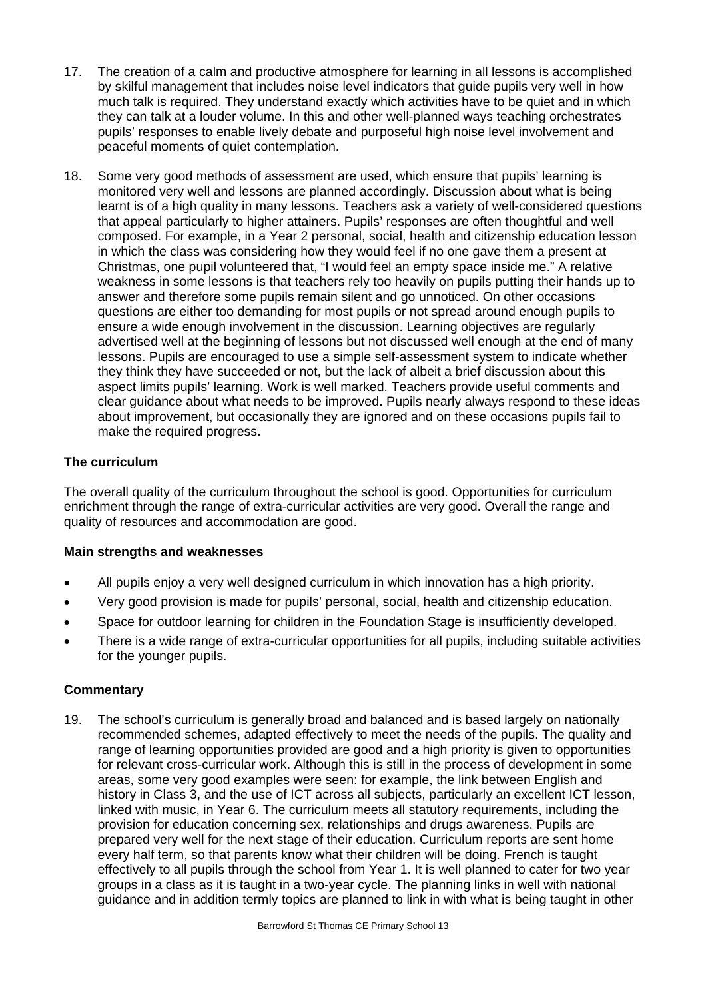- 17. The creation of a calm and productive atmosphere for learning in all lessons is accomplished by skilful management that includes noise level indicators that guide pupils very well in how much talk is required. They understand exactly which activities have to be quiet and in which they can talk at a louder volume. In this and other well-planned ways teaching orchestrates pupils' responses to enable lively debate and purposeful high noise level involvement and peaceful moments of quiet contemplation.
- 18. Some very good methods of assessment are used, which ensure that pupils' learning is monitored very well and lessons are planned accordingly. Discussion about what is being learnt is of a high quality in many lessons. Teachers ask a variety of well-considered questions that appeal particularly to higher attainers. Pupils' responses are often thoughtful and well composed. For example, in a Year 2 personal, social, health and citizenship education lesson in which the class was considering how they would feel if no one gave them a present at Christmas, one pupil volunteered that, "I would feel an empty space inside me." A relative weakness in some lessons is that teachers rely too heavily on pupils putting their hands up to answer and therefore some pupils remain silent and go unnoticed. On other occasions questions are either too demanding for most pupils or not spread around enough pupils to ensure a wide enough involvement in the discussion. Learning objectives are regularly advertised well at the beginning of lessons but not discussed well enough at the end of many lessons. Pupils are encouraged to use a simple self-assessment system to indicate whether they think they have succeeded or not, but the lack of albeit a brief discussion about this aspect limits pupils' learning. Work is well marked. Teachers provide useful comments and clear guidance about what needs to be improved. Pupils nearly always respond to these ideas about improvement, but occasionally they are ignored and on these occasions pupils fail to make the required progress.

# **The curriculum**

The overall quality of the curriculum throughout the school is good. Opportunities for curriculum enrichment through the range of extra-curricular activities are very good. Overall the range and quality of resources and accommodation are good.

#### **Main strengths and weaknesses**

- All pupils enjoy a very well designed curriculum in which innovation has a high priority.
- Very good provision is made for pupils' personal, social, health and citizenship education.
- Space for outdoor learning for children in the Foundation Stage is insufficiently developed.
- There is a wide range of extra-curricular opportunities for all pupils, including suitable activities for the younger pupils.

#### **Commentary**

19. The school's curriculum is generally broad and balanced and is based largely on nationally recommended schemes, adapted effectively to meet the needs of the pupils. The quality and range of learning opportunities provided are good and a high priority is given to opportunities for relevant cross-curricular work. Although this is still in the process of development in some areas, some very good examples were seen: for example, the link between English and history in Class 3, and the use of ICT across all subjects, particularly an excellent ICT lesson, linked with music, in Year 6. The curriculum meets all statutory requirements, including the provision for education concerning sex, relationships and drugs awareness. Pupils are prepared very well for the next stage of their education. Curriculum reports are sent home every half term, so that parents know what their children will be doing. French is taught effectively to all pupils through the school from Year 1. It is well planned to cater for two year groups in a class as it is taught in a two-year cycle. The planning links in well with national guidance and in addition termly topics are planned to link in with what is being taught in other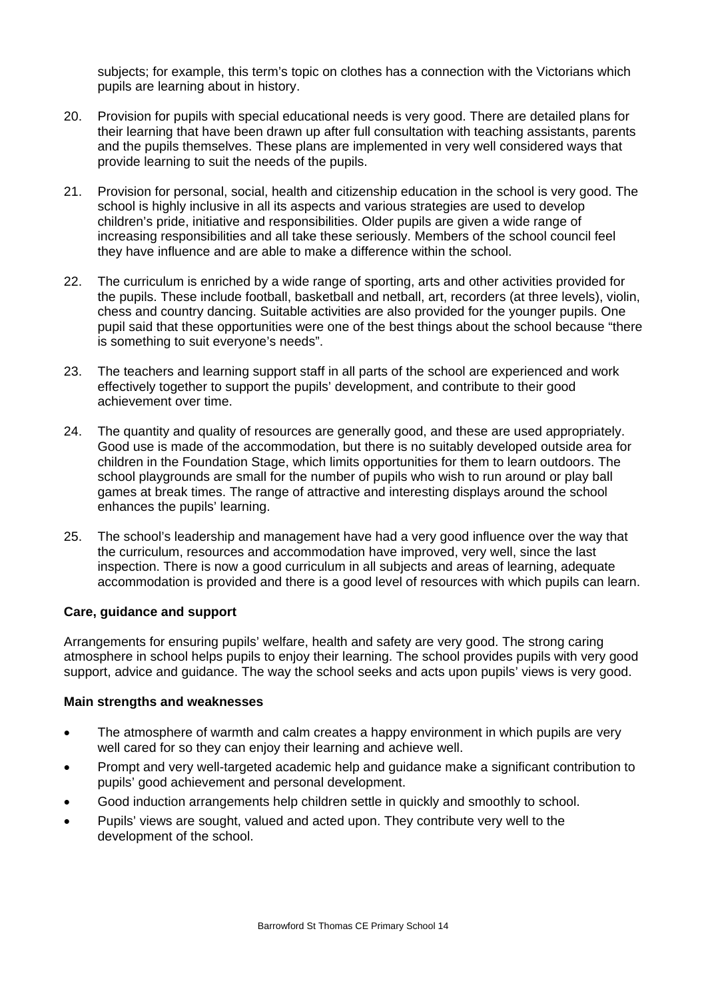subjects; for example, this term's topic on clothes has a connection with the Victorians which pupils are learning about in history.

- 20. Provision for pupils with special educational needs is very good. There are detailed plans for their learning that have been drawn up after full consultation with teaching assistants, parents and the pupils themselves. These plans are implemented in very well considered ways that provide learning to suit the needs of the pupils.
- 21. Provision for personal, social, health and citizenship education in the school is very good. The school is highly inclusive in all its aspects and various strategies are used to develop children's pride, initiative and responsibilities. Older pupils are given a wide range of increasing responsibilities and all take these seriously. Members of the school council feel they have influence and are able to make a difference within the school.
- 22. The curriculum is enriched by a wide range of sporting, arts and other activities provided for the pupils. These include football, basketball and netball, art, recorders (at three levels), violin, chess and country dancing. Suitable activities are also provided for the younger pupils. One pupil said that these opportunities were one of the best things about the school because "there is something to suit everyone's needs".
- 23. The teachers and learning support staff in all parts of the school are experienced and work effectively together to support the pupils' development, and contribute to their good achievement over time.
- 24. The quantity and quality of resources are generally good, and these are used appropriately. Good use is made of the accommodation, but there is no suitably developed outside area for children in the Foundation Stage, which limits opportunities for them to learn outdoors. The school playgrounds are small for the number of pupils who wish to run around or play ball games at break times. The range of attractive and interesting displays around the school enhances the pupils' learning.
- 25. The school's leadership and management have had a very good influence over the way that the curriculum, resources and accommodation have improved, very well, since the last inspection. There is now a good curriculum in all subjects and areas of learning, adequate accommodation is provided and there is a good level of resources with which pupils can learn.

#### **Care, guidance and support**

Arrangements for ensuring pupils' welfare, health and safety are very good. The strong caring atmosphere in school helps pupils to enjoy their learning. The school provides pupils with very good support, advice and guidance. The way the school seeks and acts upon pupils' views is very good.

- The atmosphere of warmth and calm creates a happy environment in which pupils are very well cared for so they can enjoy their learning and achieve well.
- Prompt and very well-targeted academic help and guidance make a significant contribution to pupils' good achievement and personal development.
- Good induction arrangements help children settle in quickly and smoothly to school.
- Pupils' views are sought, valued and acted upon. They contribute very well to the development of the school.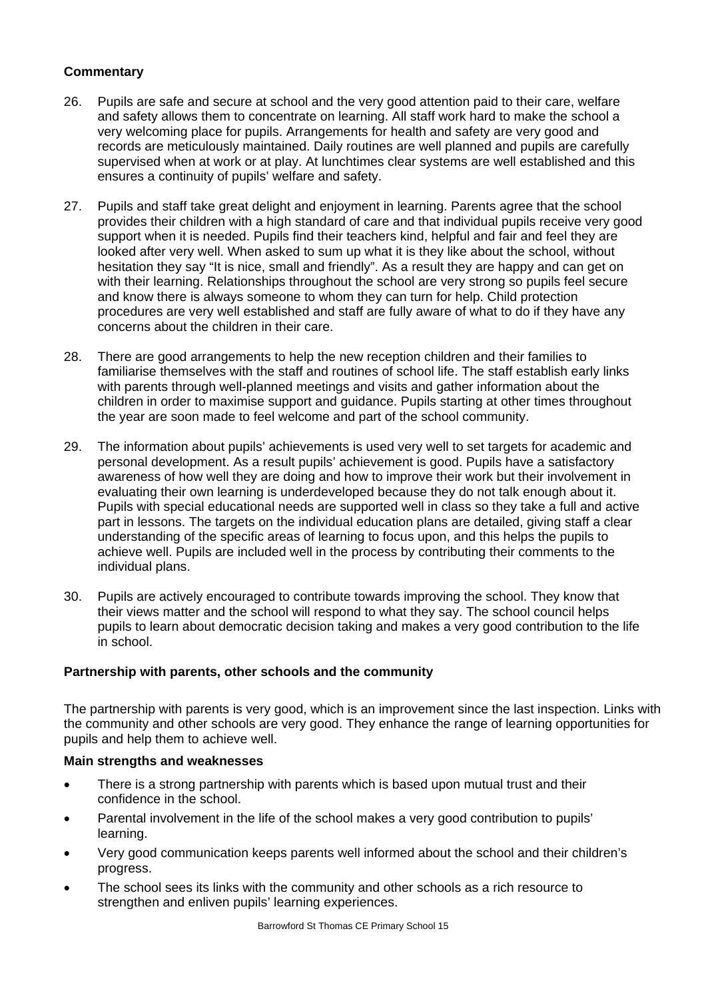- 26. Pupils are safe and secure at school and the very good attention paid to their care, welfare and safety allows them to concentrate on learning. All staff work hard to make the school a very welcoming place for pupils. Arrangements for health and safety are very good and records are meticulously maintained. Daily routines are well planned and pupils are carefully supervised when at work or at play. At lunchtimes clear systems are well established and this ensures a continuity of pupils' welfare and safety.
- 27. Pupils and staff take great delight and enjoyment in learning. Parents agree that the school provides their children with a high standard of care and that individual pupils receive very good support when it is needed. Pupils find their teachers kind, helpful and fair and feel they are looked after very well. When asked to sum up what it is they like about the school, without hesitation they say "It is nice, small and friendly". As a result they are happy and can get on with their learning. Relationships throughout the school are very strong so pupils feel secure and know there is always someone to whom they can turn for help. Child protection procedures are very well established and staff are fully aware of what to do if they have any concerns about the children in their care.
- 28. There are good arrangements to help the new reception children and their families to familiarise themselves with the staff and routines of school life. The staff establish early links with parents through well-planned meetings and visits and gather information about the children in order to maximise support and guidance. Pupils starting at other times throughout the year are soon made to feel welcome and part of the school community.
- 29. The information about pupils' achievements is used very well to set targets for academic and personal development. As a result pupils' achievement is good. Pupils have a satisfactory awareness of how well they are doing and how to improve their work but their involvement in evaluating their own learning is underdeveloped because they do not talk enough about it. Pupils with special educational needs are supported well in class so they take a full and active part in lessons. The targets on the individual education plans are detailed, giving staff a clear understanding of the specific areas of learning to focus upon, and this helps the pupils to achieve well. Pupils are included well in the process by contributing their comments to the individual plans.
- 30. Pupils are actively encouraged to contribute towards improving the school. They know that their views matter and the school will respond to what they say. The school council helps pupils to learn about democratic decision taking and makes a very good contribution to the life in school.

#### **Partnership with parents, other schools and the community**

The partnership with parents is very good, which is an improvement since the last inspection. Links with the community and other schools are very good. They enhance the range of learning opportunities for pupils and help them to achieve well.

- There is a strong partnership with parents which is based upon mutual trust and their confidence in the school.
- Parental involvement in the life of the school makes a very good contribution to pupils' learning.
- Very good communication keeps parents well informed about the school and their children's progress.
- The school sees its links with the community and other schools as a rich resource to strengthen and enliven pupils' learning experiences.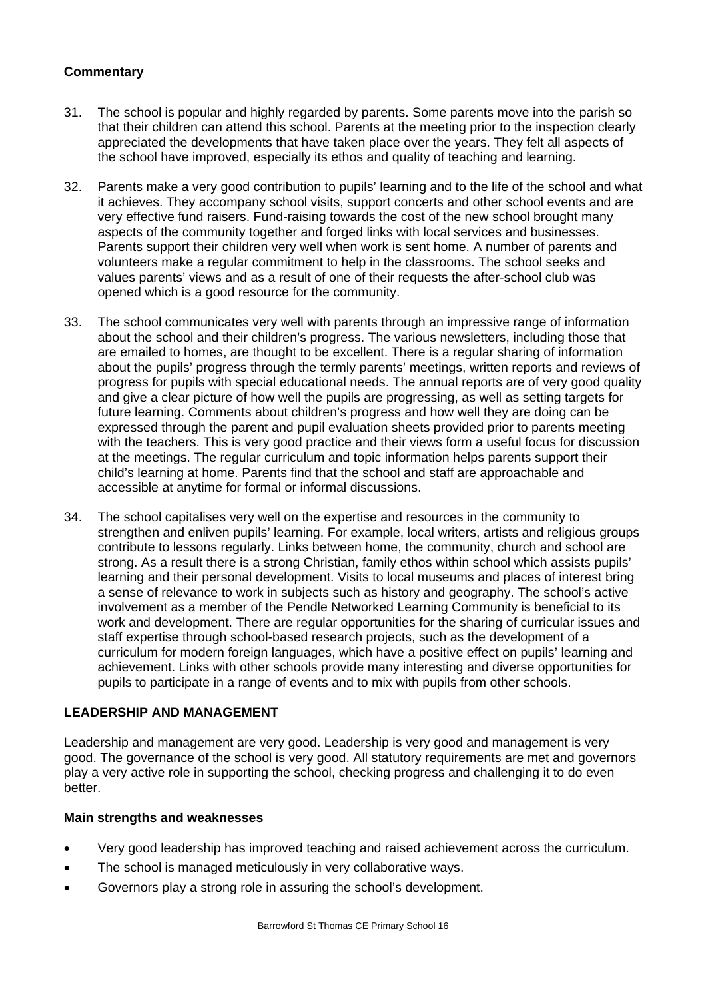- 31. The school is popular and highly regarded by parents. Some parents move into the parish so that their children can attend this school. Parents at the meeting prior to the inspection clearly appreciated the developments that have taken place over the years. They felt all aspects of the school have improved, especially its ethos and quality of teaching and learning.
- 32. Parents make a very good contribution to pupils' learning and to the life of the school and what it achieves. They accompany school visits, support concerts and other school events and are very effective fund raisers. Fund-raising towards the cost of the new school brought many aspects of the community together and forged links with local services and businesses. Parents support their children very well when work is sent home. A number of parents and volunteers make a regular commitment to help in the classrooms. The school seeks and values parents' views and as a result of one of their requests the after-school club was opened which is a good resource for the community.
- 33. The school communicates very well with parents through an impressive range of information about the school and their children's progress. The various newsletters, including those that are emailed to homes, are thought to be excellent. There is a regular sharing of information about the pupils' progress through the termly parents' meetings, written reports and reviews of progress for pupils with special educational needs. The annual reports are of very good quality and give a clear picture of how well the pupils are progressing, as well as setting targets for future learning. Comments about children's progress and how well they are doing can be expressed through the parent and pupil evaluation sheets provided prior to parents meeting with the teachers. This is very good practice and their views form a useful focus for discussion at the meetings. The regular curriculum and topic information helps parents support their child's learning at home. Parents find that the school and staff are approachable and accessible at anytime for formal or informal discussions.
- 34. The school capitalises very well on the expertise and resources in the community to strengthen and enliven pupils' learning. For example, local writers, artists and religious groups contribute to lessons regularly. Links between home, the community, church and school are strong. As a result there is a strong Christian, family ethos within school which assists pupils' learning and their personal development. Visits to local museums and places of interest bring a sense of relevance to work in subjects such as history and geography. The school's active involvement as a member of the Pendle Networked Learning Community is beneficial to its work and development. There are regular opportunities for the sharing of curricular issues and staff expertise through school-based research projects, such as the development of a curriculum for modern foreign languages, which have a positive effect on pupils' learning and achievement. Links with other schools provide many interesting and diverse opportunities for pupils to participate in a range of events and to mix with pupils from other schools.

#### **LEADERSHIP AND MANAGEMENT**

Leadership and management are very good. Leadership is very good and management is very good. The governance of the school is very good. All statutory requirements are met and governors play a very active role in supporting the school, checking progress and challenging it to do even better.

- Very good leadership has improved teaching and raised achievement across the curriculum.
- The school is managed meticulously in very collaborative ways.
- Governors play a strong role in assuring the school's development.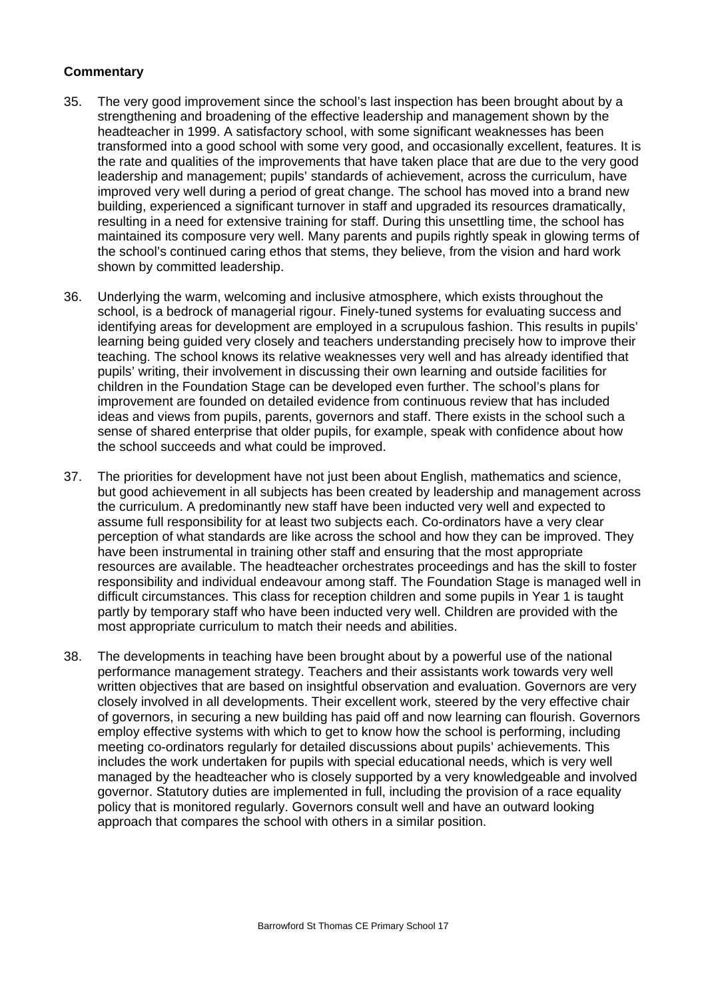- 35. The very good improvement since the school's last inspection has been brought about by a strengthening and broadening of the effective leadership and management shown by the headteacher in 1999. A satisfactory school, with some significant weaknesses has been transformed into a good school with some very good, and occasionally excellent, features. It is the rate and qualities of the improvements that have taken place that are due to the very good leadership and management; pupils' standards of achievement, across the curriculum, have improved very well during a period of great change. The school has moved into a brand new building, experienced a significant turnover in staff and upgraded its resources dramatically, resulting in a need for extensive training for staff. During this unsettling time, the school has maintained its composure very well. Many parents and pupils rightly speak in glowing terms of the school's continued caring ethos that stems, they believe, from the vision and hard work shown by committed leadership.
- 36. Underlying the warm, welcoming and inclusive atmosphere, which exists throughout the school, is a bedrock of managerial rigour. Finely-tuned systems for evaluating success and identifying areas for development are employed in a scrupulous fashion. This results in pupils' learning being guided very closely and teachers understanding precisely how to improve their teaching. The school knows its relative weaknesses very well and has already identified that pupils' writing, their involvement in discussing their own learning and outside facilities for children in the Foundation Stage can be developed even further. The school's plans for improvement are founded on detailed evidence from continuous review that has included ideas and views from pupils, parents, governors and staff. There exists in the school such a sense of shared enterprise that older pupils, for example, speak with confidence about how the school succeeds and what could be improved.
- 37. The priorities for development have not just been about English, mathematics and science, but good achievement in all subjects has been created by leadership and management across the curriculum. A predominantly new staff have been inducted very well and expected to assume full responsibility for at least two subjects each. Co-ordinators have a very clear perception of what standards are like across the school and how they can be improved. They have been instrumental in training other staff and ensuring that the most appropriate resources are available. The headteacher orchestrates proceedings and has the skill to foster responsibility and individual endeavour among staff. The Foundation Stage is managed well in difficult circumstances. This class for reception children and some pupils in Year 1 is taught partly by temporary staff who have been inducted very well. Children are provided with the most appropriate curriculum to match their needs and abilities.
- 38. The developments in teaching have been brought about by a powerful use of the national performance management strategy. Teachers and their assistants work towards very well written objectives that are based on insightful observation and evaluation. Governors are very closely involved in all developments. Their excellent work, steered by the very effective chair of governors, in securing a new building has paid off and now learning can flourish. Governors employ effective systems with which to get to know how the school is performing, including meeting co-ordinators regularly for detailed discussions about pupils' achievements. This includes the work undertaken for pupils with special educational needs, which is very well managed by the headteacher who is closely supported by a very knowledgeable and involved governor. Statutory duties are implemented in full, including the provision of a race equality policy that is monitored regularly. Governors consult well and have an outward looking approach that compares the school with others in a similar position.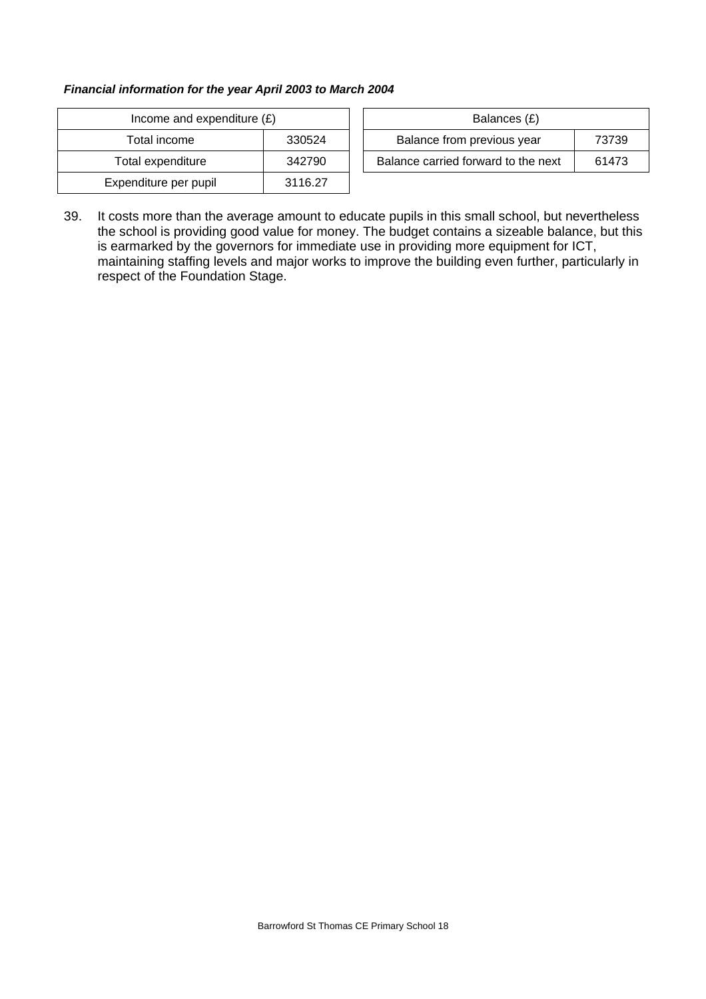#### *Financial information for the year April 2003 to March 2004*

| Income and expenditure $(E)$ |         |  | Balances (£)                     |
|------------------------------|---------|--|----------------------------------|
| Total income                 | 330524  |  | Balance from previous year       |
| Total expenditure            | 342790  |  | Balance carried forward to the r |
| Expenditure per pupil        | 3116.27 |  |                                  |

| Income and expenditure $(E)$ |        | Balances (£)                        |       |
|------------------------------|--------|-------------------------------------|-------|
| Total income                 | 330524 | Balance from previous year          | 73739 |
| Total expenditure            | 342790 | Balance carried forward to the next | 61473 |

39. It costs more than the average amount to educate pupils in this small school, but nevertheless the school is providing good value for money. The budget contains a sizeable balance, but this is earmarked by the governors for immediate use in providing more equipment for ICT, maintaining staffing levels and major works to improve the building even further, particularly in respect of the Foundation Stage.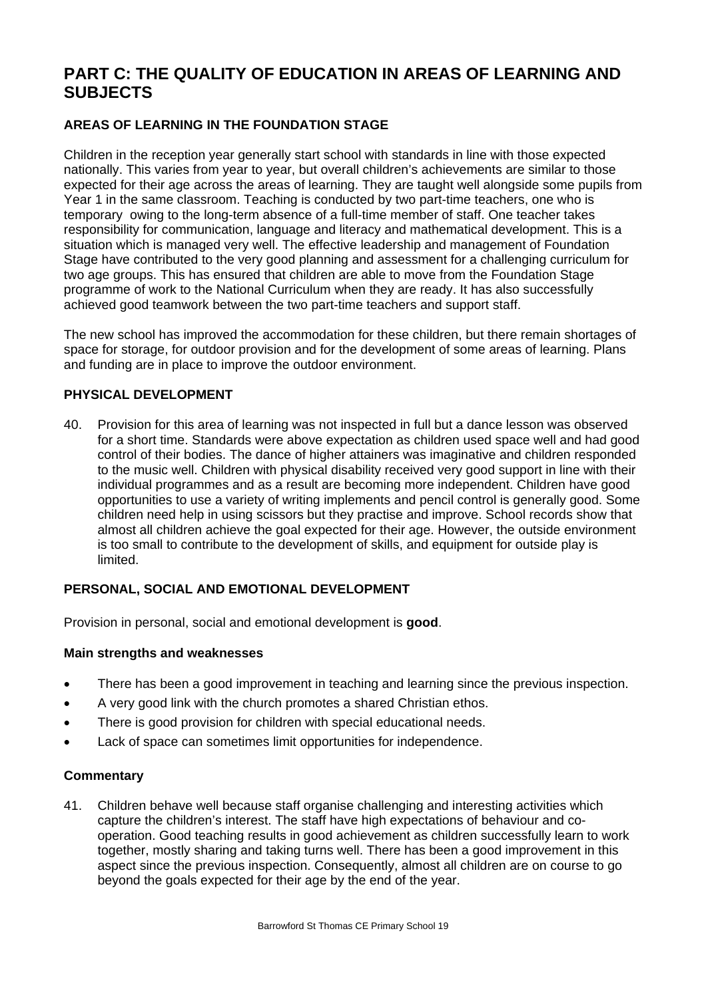# **PART C: THE QUALITY OF EDUCATION IN AREAS OF LEARNING AND SUBJECTS**

# **AREAS OF LEARNING IN THE FOUNDATION STAGE**

Children in the reception year generally start school with standards in line with those expected nationally. This varies from year to year, but overall children's achievements are similar to those expected for their age across the areas of learning. They are taught well alongside some pupils from Year 1 in the same classroom. Teaching is conducted by two part-time teachers, one who is temporary owing to the long-term absence of a full-time member of staff. One teacher takes responsibility for communication, language and literacy and mathematical development. This is a situation which is managed very well. The effective leadership and management of Foundation Stage have contributed to the very good planning and assessment for a challenging curriculum for two age groups. This has ensured that children are able to move from the Foundation Stage programme of work to the National Curriculum when they are ready. It has also successfully achieved good teamwork between the two part-time teachers and support staff.

The new school has improved the accommodation for these children, but there remain shortages of space for storage, for outdoor provision and for the development of some areas of learning. Plans and funding are in place to improve the outdoor environment.

#### **PHYSICAL DEVELOPMENT**

40. Provision for this area of learning was not inspected in full but a dance lesson was observed for a short time. Standards were above expectation as children used space well and had good control of their bodies. The dance of higher attainers was imaginative and children responded to the music well. Children with physical disability received very good support in line with their individual programmes and as a result are becoming more independent. Children have good opportunities to use a variety of writing implements and pencil control is generally good. Some children need help in using scissors but they practise and improve. School records show that almost all children achieve the goal expected for their age. However, the outside environment is too small to contribute to the development of skills, and equipment for outside play is limited.

#### **PERSONAL, SOCIAL AND EMOTIONAL DEVELOPMENT**

Provision in personal, social and emotional development is **good**.

#### **Main strengths and weaknesses**

- There has been a good improvement in teaching and learning since the previous inspection.
- A very good link with the church promotes a shared Christian ethos.
- There is good provision for children with special educational needs.
- Lack of space can sometimes limit opportunities for independence.

#### **Commentary**

41. Children behave well because staff organise challenging and interesting activities which capture the children's interest. The staff have high expectations of behaviour and cooperation. Good teaching results in good achievement as children successfully learn to work together, mostly sharing and taking turns well. There has been a good improvement in this aspect since the previous inspection. Consequently, almost all children are on course to go beyond the goals expected for their age by the end of the year.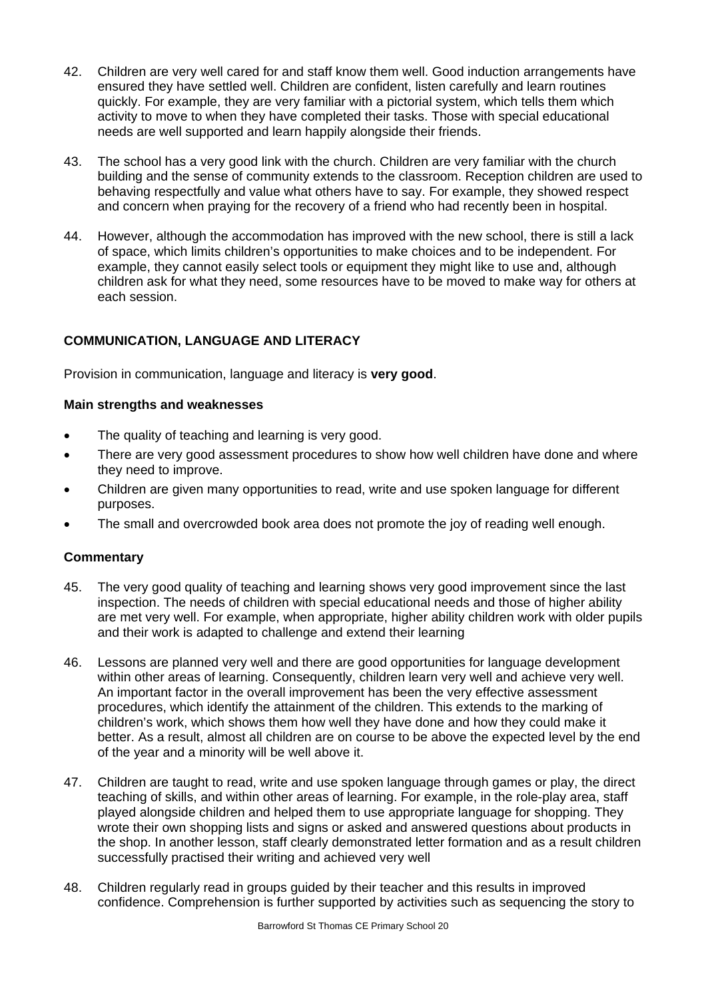- 42. Children are very well cared for and staff know them well. Good induction arrangements have ensured they have settled well. Children are confident, listen carefully and learn routines quickly. For example, they are very familiar with a pictorial system, which tells them which activity to move to when they have completed their tasks. Those with special educational needs are well supported and learn happily alongside their friends.
- 43. The school has a very good link with the church. Children are very familiar with the church building and the sense of community extends to the classroom. Reception children are used to behaving respectfully and value what others have to say. For example, they showed respect and concern when praying for the recovery of a friend who had recently been in hospital.
- 44. However, although the accommodation has improved with the new school, there is still a lack of space, which limits children's opportunities to make choices and to be independent. For example, they cannot easily select tools or equipment they might like to use and, although children ask for what they need, some resources have to be moved to make way for others at each session.

# **COMMUNICATION, LANGUAGE AND LITERACY**

Provision in communication, language and literacy is **very good**.

#### **Main strengths and weaknesses**

- The quality of teaching and learning is very good.
- There are very good assessment procedures to show how well children have done and where they need to improve.
- Children are given many opportunities to read, write and use spoken language for different purposes.
- The small and overcrowded book area does not promote the joy of reading well enough.

- 45. The very good quality of teaching and learning shows very good improvement since the last inspection. The needs of children with special educational needs and those of higher ability are met very well. For example, when appropriate, higher ability children work with older pupils and their work is adapted to challenge and extend their learning
- 46. Lessons are planned very well and there are good opportunities for language development within other areas of learning. Consequently, children learn very well and achieve very well. An important factor in the overall improvement has been the very effective assessment procedures, which identify the attainment of the children. This extends to the marking of children's work, which shows them how well they have done and how they could make it better. As a result, almost all children are on course to be above the expected level by the end of the year and a minority will be well above it.
- 47. Children are taught to read, write and use spoken language through games or play, the direct teaching of skills, and within other areas of learning. For example, in the role-play area, staff played alongside children and helped them to use appropriate language for shopping. They wrote their own shopping lists and signs or asked and answered questions about products in the shop. In another lesson, staff clearly demonstrated letter formation and as a result children successfully practised their writing and achieved very well
- 48. Children regularly read in groups guided by their teacher and this results in improved confidence. Comprehension is further supported by activities such as sequencing the story to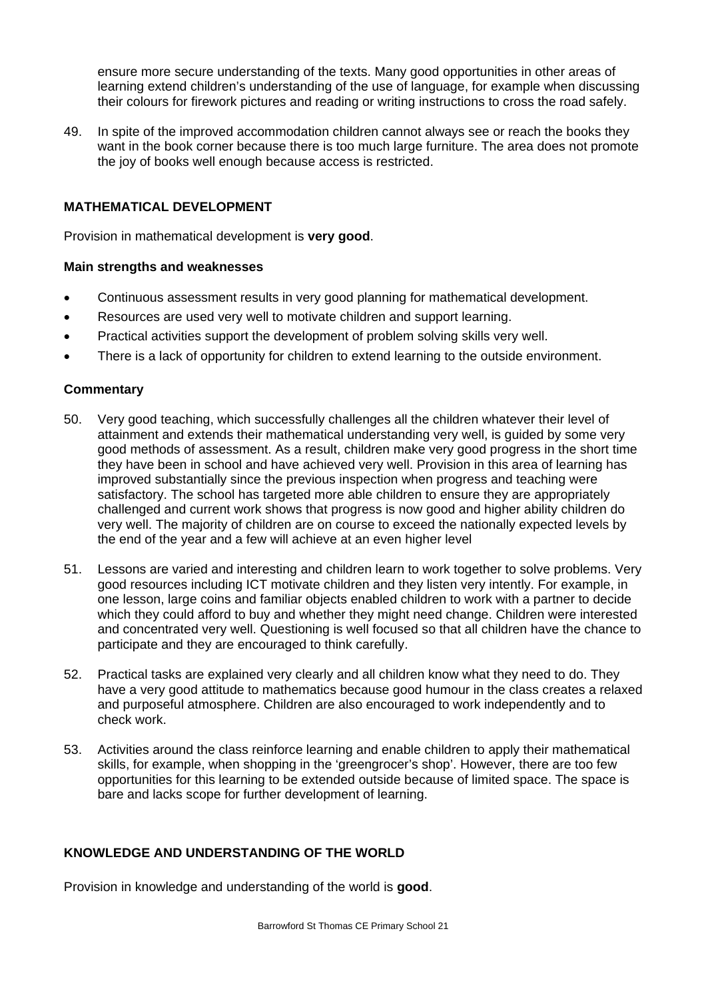ensure more secure understanding of the texts. Many good opportunities in other areas of learning extend children's understanding of the use of language, for example when discussing their colours for firework pictures and reading or writing instructions to cross the road safely.

49. In spite of the improved accommodation children cannot always see or reach the books they want in the book corner because there is too much large furniture. The area does not promote the joy of books well enough because access is restricted.

## **MATHEMATICAL DEVELOPMENT**

Provision in mathematical development is **very good**.

#### **Main strengths and weaknesses**

- Continuous assessment results in very good planning for mathematical development.
- Resources are used very well to motivate children and support learning.
- Practical activities support the development of problem solving skills very well.
- There is a lack of opportunity for children to extend learning to the outside environment.

#### **Commentary**

- 50. Very good teaching, which successfully challenges all the children whatever their level of attainment and extends their mathematical understanding very well, is guided by some very good methods of assessment. As a result, children make very good progress in the short time they have been in school and have achieved very well. Provision in this area of learning has improved substantially since the previous inspection when progress and teaching were satisfactory. The school has targeted more able children to ensure they are appropriately challenged and current work shows that progress is now good and higher ability children do very well. The majority of children are on course to exceed the nationally expected levels by the end of the year and a few will achieve at an even higher level
- 51. Lessons are varied and interesting and children learn to work together to solve problems. Very good resources including ICT motivate children and they listen very intently. For example, in one lesson, large coins and familiar objects enabled children to work with a partner to decide which they could afford to buy and whether they might need change. Children were interested and concentrated very well. Questioning is well focused so that all children have the chance to participate and they are encouraged to think carefully.
- 52. Practical tasks are explained very clearly and all children know what they need to do. They have a very good attitude to mathematics because good humour in the class creates a relaxed and purposeful atmosphere. Children are also encouraged to work independently and to check work.
- 53. Activities around the class reinforce learning and enable children to apply their mathematical skills, for example, when shopping in the 'greengrocer's shop'. However, there are too few opportunities for this learning to be extended outside because of limited space. The space is bare and lacks scope for further development of learning.

#### **KNOWLEDGE AND UNDERSTANDING OF THE WORLD**

Provision in knowledge and understanding of the world is **good**.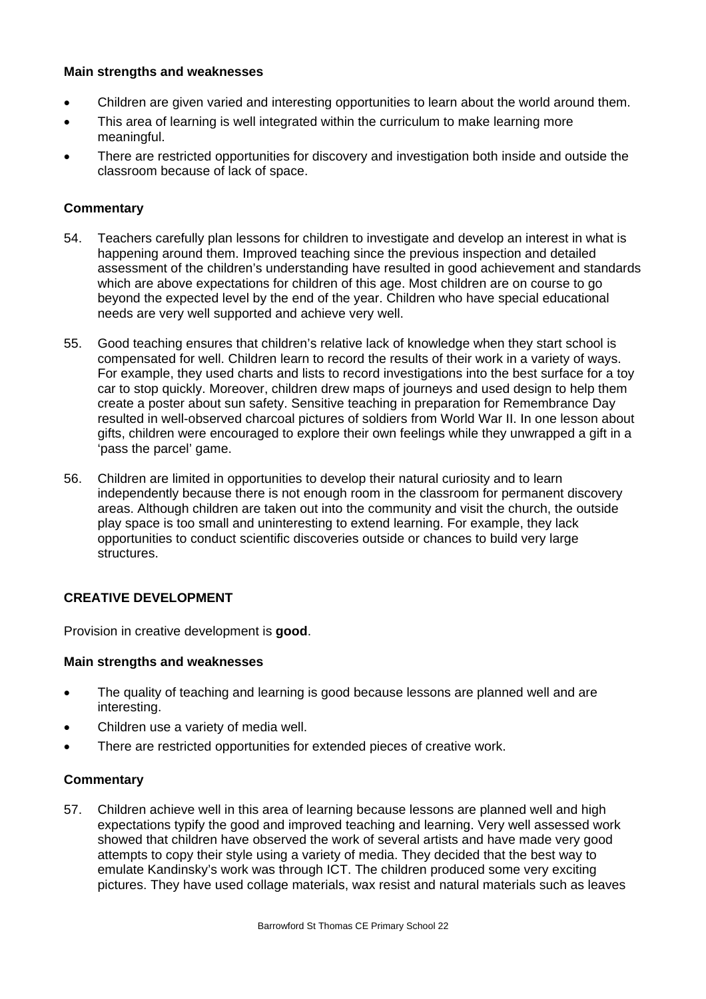### **Main strengths and weaknesses**

- Children are given varied and interesting opportunities to learn about the world around them.
- This area of learning is well integrated within the curriculum to make learning more meaningful.
- There are restricted opportunities for discovery and investigation both inside and outside the classroom because of lack of space.

#### **Commentary**

- 54. Teachers carefully plan lessons for children to investigate and develop an interest in what is happening around them. Improved teaching since the previous inspection and detailed assessment of the children's understanding have resulted in good achievement and standards which are above expectations for children of this age. Most children are on course to go beyond the expected level by the end of the year. Children who have special educational needs are very well supported and achieve very well.
- 55. Good teaching ensures that children's relative lack of knowledge when they start school is compensated for well. Children learn to record the results of their work in a variety of ways. For example, they used charts and lists to record investigations into the best surface for a toy car to stop quickly. Moreover, children drew maps of journeys and used design to help them create a poster about sun safety. Sensitive teaching in preparation for Remembrance Day resulted in well-observed charcoal pictures of soldiers from World War II. In one lesson about gifts, children were encouraged to explore their own feelings while they unwrapped a gift in a 'pass the parcel' game.
- 56. Children are limited in opportunities to develop their natural curiosity and to learn independently because there is not enough room in the classroom for permanent discovery areas. Although children are taken out into the community and visit the church, the outside play space is too small and uninteresting to extend learning. For example, they lack opportunities to conduct scientific discoveries outside or chances to build very large structures.

#### **CREATIVE DEVELOPMENT**

Provision in creative development is **good**.

#### **Main strengths and weaknesses**

- The quality of teaching and learning is good because lessons are planned well and are interesting.
- Children use a variety of media well.
- There are restricted opportunities for extended pieces of creative work.

#### **Commentary**

57. Children achieve well in this area of learning because lessons are planned well and high expectations typify the good and improved teaching and learning. Very well assessed work showed that children have observed the work of several artists and have made very good attempts to copy their style using a variety of media. They decided that the best way to emulate Kandinsky's work was through ICT. The children produced some very exciting pictures. They have used collage materials, wax resist and natural materials such as leaves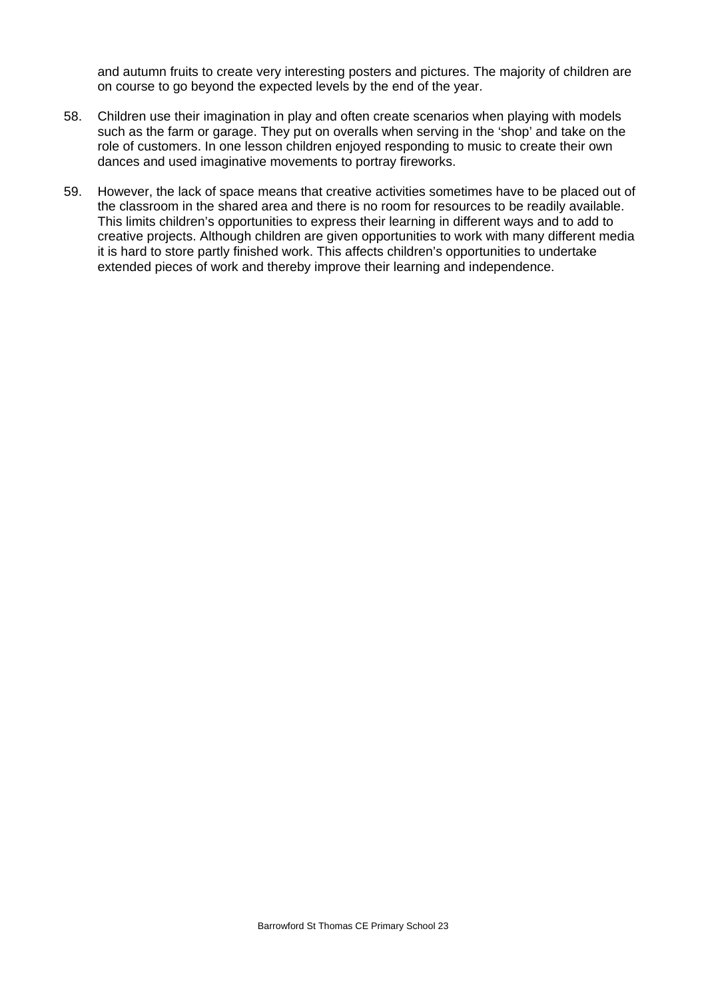and autumn fruits to create very interesting posters and pictures. The majority of children are on course to go beyond the expected levels by the end of the year.

- 58. Children use their imagination in play and often create scenarios when playing with models such as the farm or garage. They put on overalls when serving in the 'shop' and take on the role of customers. In one lesson children enjoyed responding to music to create their own dances and used imaginative movements to portray fireworks.
- 59. However, the lack of space means that creative activities sometimes have to be placed out of the classroom in the shared area and there is no room for resources to be readily available. This limits children's opportunities to express their learning in different ways and to add to creative projects. Although children are given opportunities to work with many different media it is hard to store partly finished work. This affects children's opportunities to undertake extended pieces of work and thereby improve their learning and independence.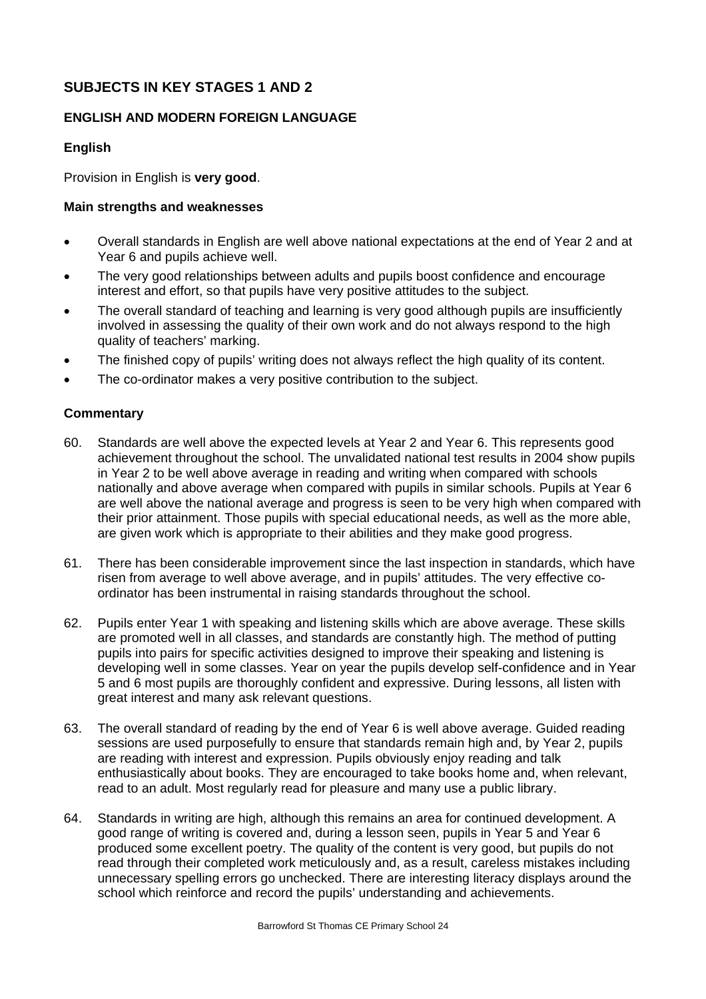# **SUBJECTS IN KEY STAGES 1 AND 2**

# **ENGLISH AND MODERN FOREIGN LANGUAGE**

#### **English**

Provision in English is **very good**.

## **Main strengths and weaknesses**

- Overall standards in English are well above national expectations at the end of Year 2 and at Year 6 and pupils achieve well.
- The very good relationships between adults and pupils boost confidence and encourage interest and effort, so that pupils have very positive attitudes to the subject.
- The overall standard of teaching and learning is very good although pupils are insufficiently involved in assessing the quality of their own work and do not always respond to the high quality of teachers' marking.
- The finished copy of pupils' writing does not always reflect the high quality of its content.
- The co-ordinator makes a very positive contribution to the subject.

- 60. Standards are well above the expected levels at Year 2 and Year 6. This represents good achievement throughout the school. The unvalidated national test results in 2004 show pupils in Year 2 to be well above average in reading and writing when compared with schools nationally and above average when compared with pupils in similar schools. Pupils at Year 6 are well above the national average and progress is seen to be very high when compared with their prior attainment. Those pupils with special educational needs, as well as the more able, are given work which is appropriate to their abilities and they make good progress.
- 61. There has been considerable improvement since the last inspection in standards, which have risen from average to well above average, and in pupils' attitudes. The very effective coordinator has been instrumental in raising standards throughout the school.
- 62. Pupils enter Year 1 with speaking and listening skills which are above average. These skills are promoted well in all classes, and standards are constantly high. The method of putting pupils into pairs for specific activities designed to improve their speaking and listening is developing well in some classes. Year on year the pupils develop self-confidence and in Year 5 and 6 most pupils are thoroughly confident and expressive. During lessons, all listen with great interest and many ask relevant questions.
- 63. The overall standard of reading by the end of Year 6 is well above average. Guided reading sessions are used purposefully to ensure that standards remain high and, by Year 2, pupils are reading with interest and expression. Pupils obviously enjoy reading and talk enthusiastically about books. They are encouraged to take books home and, when relevant, read to an adult. Most regularly read for pleasure and many use a public library.
- 64. Standards in writing are high, although this remains an area for continued development. A good range of writing is covered and, during a lesson seen, pupils in Year 5 and Year 6 produced some excellent poetry. The quality of the content is very good, but pupils do not read through their completed work meticulously and, as a result, careless mistakes including unnecessary spelling errors go unchecked. There are interesting literacy displays around the school which reinforce and record the pupils' understanding and achievements.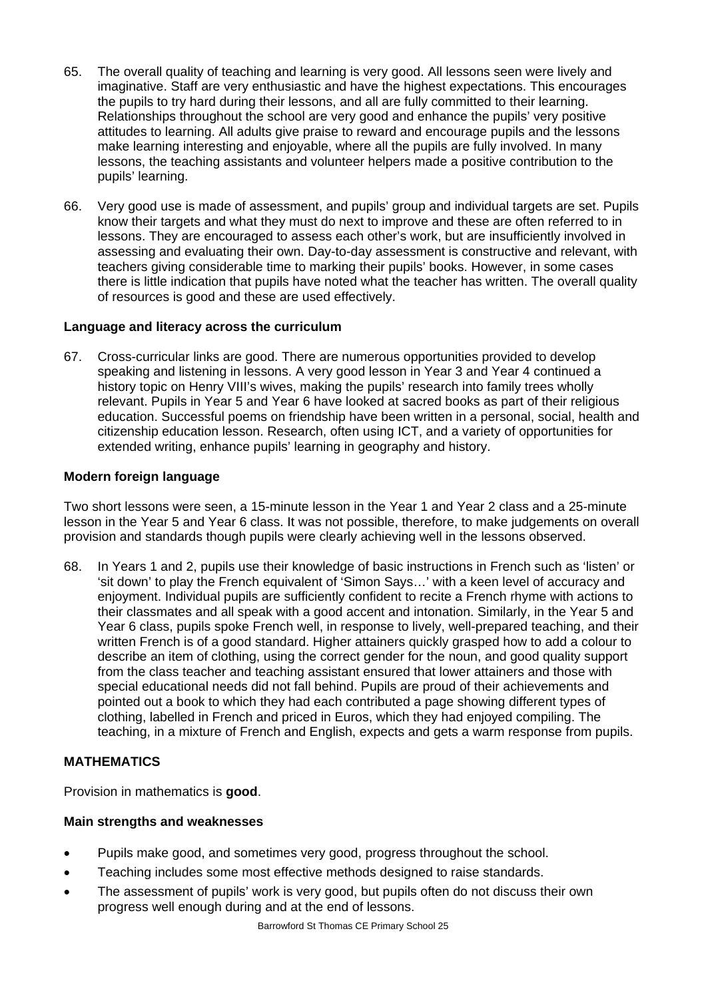- 65. The overall quality of teaching and learning is very good. All lessons seen were lively and imaginative. Staff are very enthusiastic and have the highest expectations. This encourages the pupils to try hard during their lessons, and all are fully committed to their learning. Relationships throughout the school are very good and enhance the pupils' very positive attitudes to learning. All adults give praise to reward and encourage pupils and the lessons make learning interesting and enjoyable, where all the pupils are fully involved. In many lessons, the teaching assistants and volunteer helpers made a positive contribution to the pupils' learning.
- 66. Very good use is made of assessment, and pupils' group and individual targets are set. Pupils know their targets and what they must do next to improve and these are often referred to in lessons. They are encouraged to assess each other's work, but are insufficiently involved in assessing and evaluating their own. Day-to-day assessment is constructive and relevant, with teachers giving considerable time to marking their pupils' books. However, in some cases there is little indication that pupils have noted what the teacher has written. The overall quality of resources is good and these are used effectively.

#### **Language and literacy across the curriculum**

67. Cross-curricular links are good. There are numerous opportunities provided to develop speaking and listening in lessons. A very good lesson in Year 3 and Year 4 continued a history topic on Henry VIII's wives, making the pupils' research into family trees wholly relevant. Pupils in Year 5 and Year 6 have looked at sacred books as part of their religious education. Successful poems on friendship have been written in a personal, social, health and citizenship education lesson. Research, often using ICT, and a variety of opportunities for extended writing, enhance pupils' learning in geography and history.

#### **Modern foreign language**

Two short lessons were seen, a 15-minute lesson in the Year 1 and Year 2 class and a 25-minute lesson in the Year 5 and Year 6 class. It was not possible, therefore, to make judgements on overall provision and standards though pupils were clearly achieving well in the lessons observed.

68. In Years 1 and 2, pupils use their knowledge of basic instructions in French such as 'listen' or 'sit down' to play the French equivalent of 'Simon Says…' with a keen level of accuracy and enjoyment. Individual pupils are sufficiently confident to recite a French rhyme with actions to their classmates and all speak with a good accent and intonation. Similarly, in the Year 5 and Year 6 class, pupils spoke French well, in response to lively, well-prepared teaching, and their written French is of a good standard. Higher attainers quickly grasped how to add a colour to describe an item of clothing, using the correct gender for the noun, and good quality support from the class teacher and teaching assistant ensured that lower attainers and those with special educational needs did not fall behind. Pupils are proud of their achievements and pointed out a book to which they had each contributed a page showing different types of clothing, labelled in French and priced in Euros, which they had enjoyed compiling. The teaching, in a mixture of French and English, expects and gets a warm response from pupils.

# **MATHEMATICS**

Provision in mathematics is **good**.

- Pupils make good, and sometimes very good, progress throughout the school.
- Teaching includes some most effective methods designed to raise standards.
- The assessment of pupils' work is very good, but pupils often do not discuss their own progress well enough during and at the end of lessons.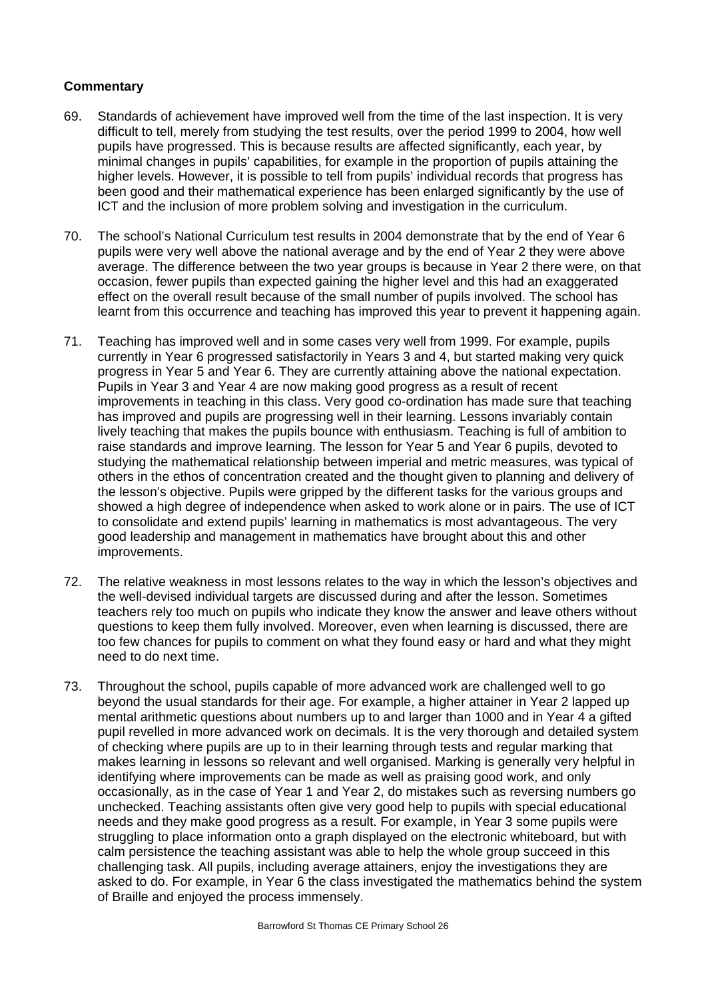- 69. Standards of achievement have improved well from the time of the last inspection. It is very difficult to tell, merely from studying the test results, over the period 1999 to 2004, how well pupils have progressed. This is because results are affected significantly, each year, by minimal changes in pupils' capabilities, for example in the proportion of pupils attaining the higher levels. However, it is possible to tell from pupils' individual records that progress has been good and their mathematical experience has been enlarged significantly by the use of ICT and the inclusion of more problem solving and investigation in the curriculum.
- 70. The school's National Curriculum test results in 2004 demonstrate that by the end of Year 6 pupils were very well above the national average and by the end of Year 2 they were above average. The difference between the two year groups is because in Year 2 there were, on that occasion, fewer pupils than expected gaining the higher level and this had an exaggerated effect on the overall result because of the small number of pupils involved. The school has learnt from this occurrence and teaching has improved this year to prevent it happening again.
- 71. Teaching has improved well and in some cases very well from 1999. For example, pupils currently in Year 6 progressed satisfactorily in Years 3 and 4, but started making very quick progress in Year 5 and Year 6. They are currently attaining above the national expectation. Pupils in Year 3 and Year 4 are now making good progress as a result of recent improvements in teaching in this class. Very good co-ordination has made sure that teaching has improved and pupils are progressing well in their learning. Lessons invariably contain lively teaching that makes the pupils bounce with enthusiasm. Teaching is full of ambition to raise standards and improve learning. The lesson for Year 5 and Year 6 pupils, devoted to studying the mathematical relationship between imperial and metric measures, was typical of others in the ethos of concentration created and the thought given to planning and delivery of the lesson's objective. Pupils were gripped by the different tasks for the various groups and showed a high degree of independence when asked to work alone or in pairs. The use of ICT to consolidate and extend pupils' learning in mathematics is most advantageous. The very good leadership and management in mathematics have brought about this and other improvements.
- 72. The relative weakness in most lessons relates to the way in which the lesson's objectives and the well-devised individual targets are discussed during and after the lesson. Sometimes teachers rely too much on pupils who indicate they know the answer and leave others without questions to keep them fully involved. Moreover, even when learning is discussed, there are too few chances for pupils to comment on what they found easy or hard and what they might need to do next time.
- 73. Throughout the school, pupils capable of more advanced work are challenged well to go beyond the usual standards for their age. For example, a higher attainer in Year 2 lapped up mental arithmetic questions about numbers up to and larger than 1000 and in Year 4 a gifted pupil revelled in more advanced work on decimals. It is the very thorough and detailed system of checking where pupils are up to in their learning through tests and regular marking that makes learning in lessons so relevant and well organised. Marking is generally very helpful in identifying where improvements can be made as well as praising good work, and only occasionally, as in the case of Year 1 and Year 2, do mistakes such as reversing numbers go unchecked. Teaching assistants often give very good help to pupils with special educational needs and they make good progress as a result. For example, in Year 3 some pupils were struggling to place information onto a graph displayed on the electronic whiteboard, but with calm persistence the teaching assistant was able to help the whole group succeed in this challenging task. All pupils, including average attainers, enjoy the investigations they are asked to do. For example, in Year 6 the class investigated the mathematics behind the system of Braille and enjoyed the process immensely.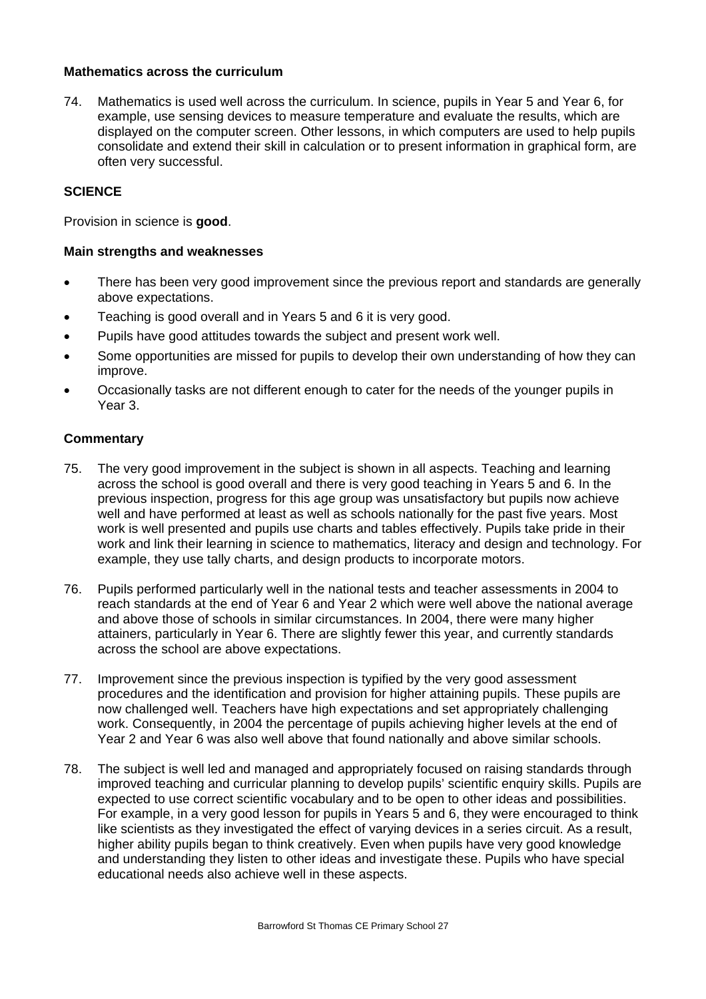## **Mathematics across the curriculum**

74. Mathematics is used well across the curriculum. In science, pupils in Year 5 and Year 6, for example, use sensing devices to measure temperature and evaluate the results, which are displayed on the computer screen. Other lessons, in which computers are used to help pupils consolidate and extend their skill in calculation or to present information in graphical form, are often very successful.

#### **SCIENCE**

Provision in science is **good**.

#### **Main strengths and weaknesses**

- There has been very good improvement since the previous report and standards are generally above expectations.
- Teaching is good overall and in Years 5 and 6 it is very good.
- Pupils have good attitudes towards the subject and present work well.
- Some opportunities are missed for pupils to develop their own understanding of how they can improve.
- Occasionally tasks are not different enough to cater for the needs of the younger pupils in Year 3.

- 75. The very good improvement in the subject is shown in all aspects. Teaching and learning across the school is good overall and there is very good teaching in Years 5 and 6. In the previous inspection, progress for this age group was unsatisfactory but pupils now achieve well and have performed at least as well as schools nationally for the past five years. Most work is well presented and pupils use charts and tables effectively. Pupils take pride in their work and link their learning in science to mathematics, literacy and design and technology. For example, they use tally charts, and design products to incorporate motors.
- 76. Pupils performed particularly well in the national tests and teacher assessments in 2004 to reach standards at the end of Year 6 and Year 2 which were well above the national average and above those of schools in similar circumstances. In 2004, there were many higher attainers, particularly in Year 6. There are slightly fewer this year, and currently standards across the school are above expectations.
- 77. Improvement since the previous inspection is typified by the very good assessment procedures and the identification and provision for higher attaining pupils. These pupils are now challenged well. Teachers have high expectations and set appropriately challenging work. Consequently, in 2004 the percentage of pupils achieving higher levels at the end of Year 2 and Year 6 was also well above that found nationally and above similar schools.
- 78. The subject is well led and managed and appropriately focused on raising standards through improved teaching and curricular planning to develop pupils' scientific enquiry skills. Pupils are expected to use correct scientific vocabulary and to be open to other ideas and possibilities. For example, in a very good lesson for pupils in Years 5 and 6, they were encouraged to think like scientists as they investigated the effect of varying devices in a series circuit. As a result, higher ability pupils began to think creatively. Even when pupils have very good knowledge and understanding they listen to other ideas and investigate these. Pupils who have special educational needs also achieve well in these aspects.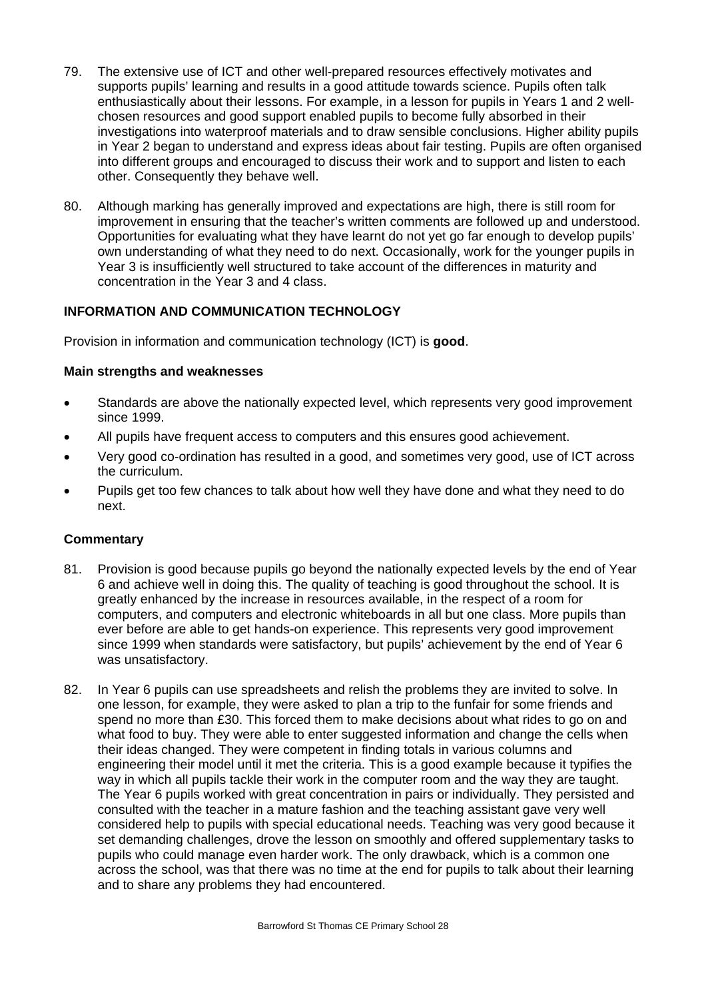- 79. The extensive use of ICT and other well-prepared resources effectively motivates and supports pupils' learning and results in a good attitude towards science. Pupils often talk enthusiastically about their lessons. For example, in a lesson for pupils in Years 1 and 2 wellchosen resources and good support enabled pupils to become fully absorbed in their investigations into waterproof materials and to draw sensible conclusions. Higher ability pupils in Year 2 began to understand and express ideas about fair testing. Pupils are often organised into different groups and encouraged to discuss their work and to support and listen to each other. Consequently they behave well.
- 80. Although marking has generally improved and expectations are high, there is still room for improvement in ensuring that the teacher's written comments are followed up and understood. Opportunities for evaluating what they have learnt do not yet go far enough to develop pupils' own understanding of what they need to do next. Occasionally, work for the younger pupils in Year 3 is insufficiently well structured to take account of the differences in maturity and concentration in the Year 3 and 4 class.

# **INFORMATION AND COMMUNICATION TECHNOLOGY**

Provision in information and communication technology (ICT) is **good**.

#### **Main strengths and weaknesses**

- Standards are above the nationally expected level, which represents very good improvement since 1999.
- All pupils have frequent access to computers and this ensures good achievement.
- Very good co-ordination has resulted in a good, and sometimes very good, use of ICT across the curriculum.
- Pupils get too few chances to talk about how well they have done and what they need to do next.

- 81. Provision is good because pupils go beyond the nationally expected levels by the end of Year 6 and achieve well in doing this. The quality of teaching is good throughout the school. It is greatly enhanced by the increase in resources available, in the respect of a room for computers, and computers and electronic whiteboards in all but one class. More pupils than ever before are able to get hands-on experience. This represents very good improvement since 1999 when standards were satisfactory, but pupils' achievement by the end of Year 6 was unsatisfactory.
- 82. In Year 6 pupils can use spreadsheets and relish the problems they are invited to solve. In one lesson, for example, they were asked to plan a trip to the funfair for some friends and spend no more than £30. This forced them to make decisions about what rides to go on and what food to buy. They were able to enter suggested information and change the cells when their ideas changed. They were competent in finding totals in various columns and engineering their model until it met the criteria. This is a good example because it typifies the way in which all pupils tackle their work in the computer room and the way they are taught. The Year 6 pupils worked with great concentration in pairs or individually. They persisted and consulted with the teacher in a mature fashion and the teaching assistant gave very well considered help to pupils with special educational needs. Teaching was very good because it set demanding challenges, drove the lesson on smoothly and offered supplementary tasks to pupils who could manage even harder work. The only drawback, which is a common one across the school, was that there was no time at the end for pupils to talk about their learning and to share any problems they had encountered.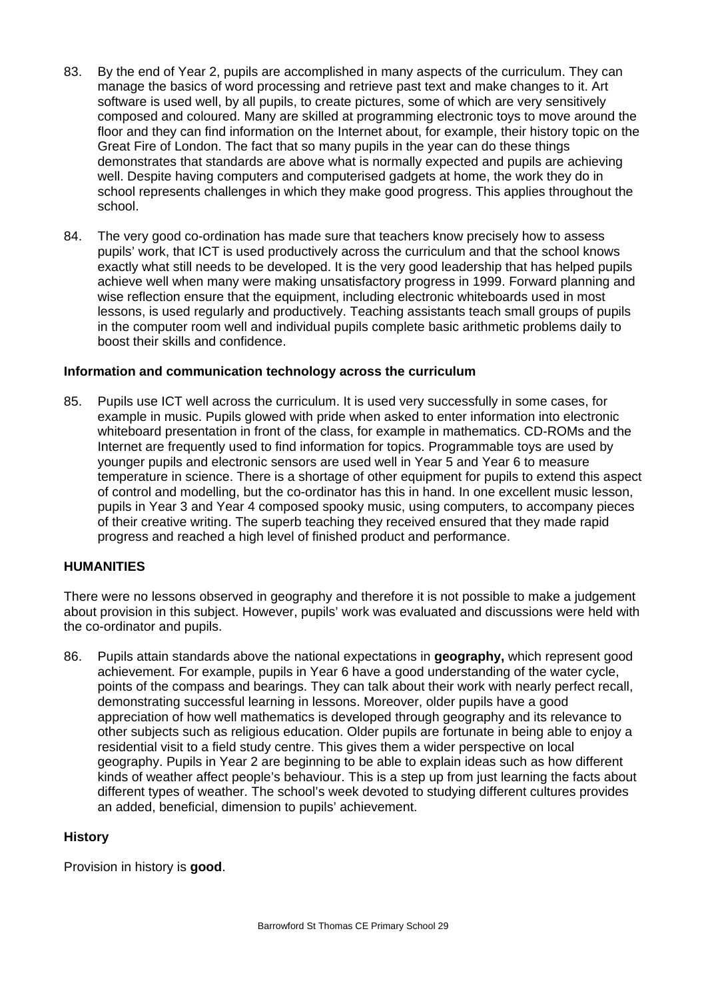- 83. By the end of Year 2, pupils are accomplished in many aspects of the curriculum. They can manage the basics of word processing and retrieve past text and make changes to it. Art software is used well, by all pupils, to create pictures, some of which are very sensitively composed and coloured. Many are skilled at programming electronic toys to move around the floor and they can find information on the Internet about, for example, their history topic on the Great Fire of London. The fact that so many pupils in the year can do these things demonstrates that standards are above what is normally expected and pupils are achieving well. Despite having computers and computerised gadgets at home, the work they do in school represents challenges in which they make good progress. This applies throughout the school.
- 84. The very good co-ordination has made sure that teachers know precisely how to assess pupils' work, that ICT is used productively across the curriculum and that the school knows exactly what still needs to be developed. It is the very good leadership that has helped pupils achieve well when many were making unsatisfactory progress in 1999. Forward planning and wise reflection ensure that the equipment, including electronic whiteboards used in most lessons, is used regularly and productively. Teaching assistants teach small groups of pupils in the computer room well and individual pupils complete basic arithmetic problems daily to boost their skills and confidence.

#### **Information and communication technology across the curriculum**

85. Pupils use ICT well across the curriculum. It is used very successfully in some cases, for example in music. Pupils glowed with pride when asked to enter information into electronic whiteboard presentation in front of the class, for example in mathematics. CD-ROMs and the Internet are frequently used to find information for topics. Programmable toys are used by younger pupils and electronic sensors are used well in Year 5 and Year 6 to measure temperature in science. There is a shortage of other equipment for pupils to extend this aspect of control and modelling, but the co-ordinator has this in hand. In one excellent music lesson, pupils in Year 3 and Year 4 composed spooky music, using computers, to accompany pieces of their creative writing. The superb teaching they received ensured that they made rapid progress and reached a high level of finished product and performance.

#### **HUMANITIES**

There were no lessons observed in geography and therefore it is not possible to make a judgement about provision in this subject. However, pupils' work was evaluated and discussions were held with the co-ordinator and pupils.

86. Pupils attain standards above the national expectations in **geography,** which represent good achievement. For example, pupils in Year 6 have a good understanding of the water cycle, points of the compass and bearings. They can talk about their work with nearly perfect recall, demonstrating successful learning in lessons. Moreover, older pupils have a good appreciation of how well mathematics is developed through geography and its relevance to other subjects such as religious education. Older pupils are fortunate in being able to enjoy a residential visit to a field study centre. This gives them a wider perspective on local geography. Pupils in Year 2 are beginning to be able to explain ideas such as how different kinds of weather affect people's behaviour. This is a step up from just learning the facts about different types of weather. The school's week devoted to studying different cultures provides an added, beneficial, dimension to pupils' achievement.

#### **History**

Provision in history is **good**.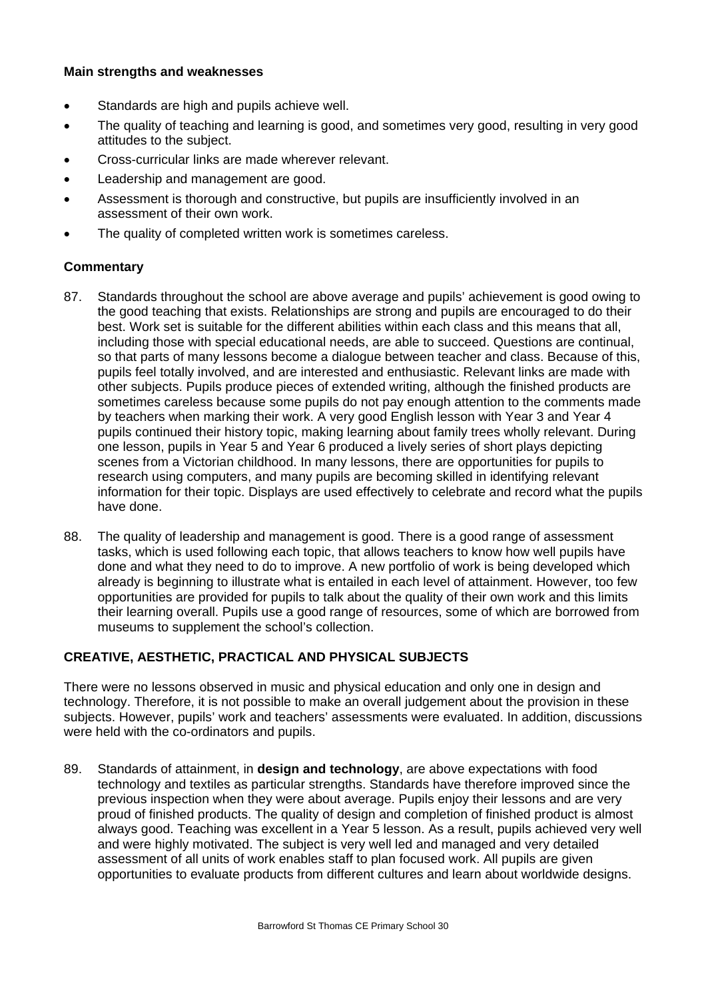#### **Main strengths and weaknesses**

- Standards are high and pupils achieve well.
- The quality of teaching and learning is good, and sometimes very good, resulting in very good attitudes to the subject.
- Cross-curricular links are made wherever relevant.
- Leadership and management are good.
- Assessment is thorough and constructive, but pupils are insufficiently involved in an assessment of their own work.
- The quality of completed written work is sometimes careless.

# **Commentary**

- 87. Standards throughout the school are above average and pupils' achievement is good owing to the good teaching that exists. Relationships are strong and pupils are encouraged to do their best. Work set is suitable for the different abilities within each class and this means that all, including those with special educational needs, are able to succeed. Questions are continual, so that parts of many lessons become a dialogue between teacher and class. Because of this, pupils feel totally involved, and are interested and enthusiastic. Relevant links are made with other subjects. Pupils produce pieces of extended writing, although the finished products are sometimes careless because some pupils do not pay enough attention to the comments made by teachers when marking their work. A very good English lesson with Year 3 and Year 4 pupils continued their history topic, making learning about family trees wholly relevant. During one lesson, pupils in Year 5 and Year 6 produced a lively series of short plays depicting scenes from a Victorian childhood. In many lessons, there are opportunities for pupils to research using computers, and many pupils are becoming skilled in identifying relevant information for their topic. Displays are used effectively to celebrate and record what the pupils have done.
- 88. The quality of leadership and management is good. There is a good range of assessment tasks, which is used following each topic, that allows teachers to know how well pupils have done and what they need to do to improve. A new portfolio of work is being developed which already is beginning to illustrate what is entailed in each level of attainment. However, too few opportunities are provided for pupils to talk about the quality of their own work and this limits their learning overall. Pupils use a good range of resources, some of which are borrowed from museums to supplement the school's collection.

# **CREATIVE, AESTHETIC, PRACTICAL AND PHYSICAL SUBJECTS**

There were no lessons observed in music and physical education and only one in design and technology. Therefore, it is not possible to make an overall judgement about the provision in these subjects. However, pupils' work and teachers' assessments were evaluated. In addition, discussions were held with the co-ordinators and pupils.

89. Standards of attainment, in **design and technology**, are above expectations with food technology and textiles as particular strengths. Standards have therefore improved since the previous inspection when they were about average. Pupils enjoy their lessons and are very proud of finished products. The quality of design and completion of finished product is almost always good. Teaching was excellent in a Year 5 lesson. As a result, pupils achieved very well and were highly motivated. The subject is very well led and managed and very detailed assessment of all units of work enables staff to plan focused work. All pupils are given opportunities to evaluate products from different cultures and learn about worldwide designs.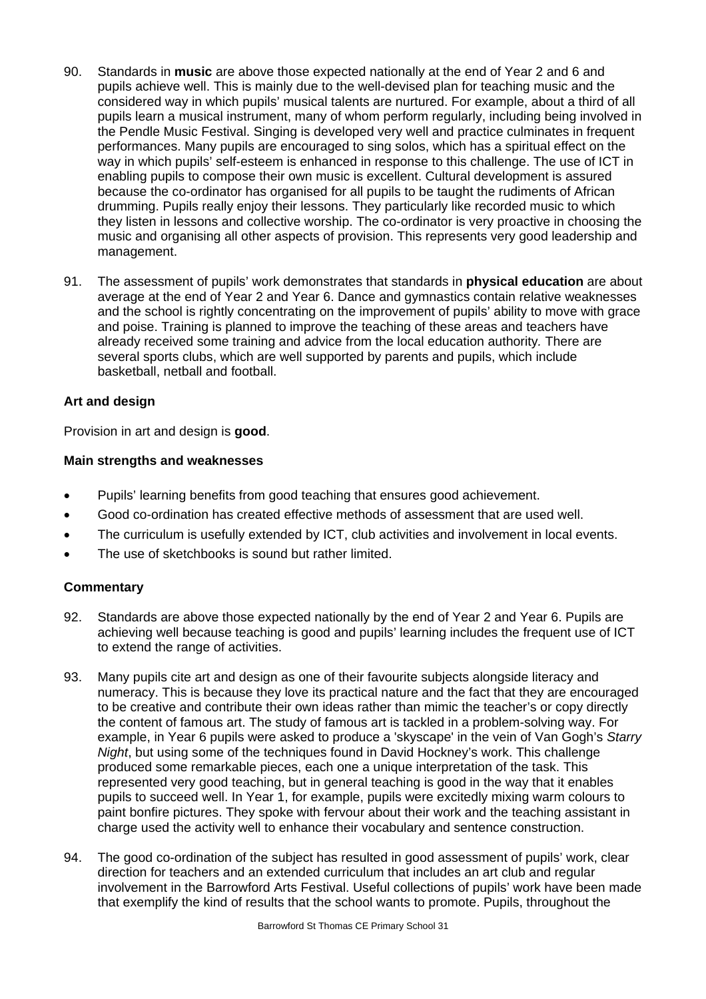- 90. Standards in **music** are above those expected nationally at the end of Year 2 and 6 and pupils achieve well. This is mainly due to the well-devised plan for teaching music and the considered way in which pupils' musical talents are nurtured. For example, about a third of all pupils learn a musical instrument, many of whom perform regularly, including being involved in the Pendle Music Festival. Singing is developed very well and practice culminates in frequent performances. Many pupils are encouraged to sing solos, which has a spiritual effect on the way in which pupils' self-esteem is enhanced in response to this challenge. The use of ICT in enabling pupils to compose their own music is excellent. Cultural development is assured because the co-ordinator has organised for all pupils to be taught the rudiments of African drumming. Pupils really enjoy their lessons. They particularly like recorded music to which they listen in lessons and collective worship. The co-ordinator is very proactive in choosing the music and organising all other aspects of provision. This represents very good leadership and management.
- 91. The assessment of pupils' work demonstrates that standards in **physical education** are about average at the end of Year 2 and Year 6. Dance and gymnastics contain relative weaknesses and the school is rightly concentrating on the improvement of pupils' ability to move with grace and poise. Training is planned to improve the teaching of these areas and teachers have already received some training and advice from the local education authority*.* There are several sports clubs, which are well supported by parents and pupils, which include basketball, netball and football.

# **Art and design**

Provision in art and design is **good**.

# **Main strengths and weaknesses**

- Pupils' learning benefits from good teaching that ensures good achievement.
- Good co-ordination has created effective methods of assessment that are used well.
- The curriculum is usefully extended by ICT, club activities and involvement in local events.
- The use of sketchbooks is sound but rather limited.

- 92. Standards are above those expected nationally by the end of Year 2 and Year 6. Pupils are achieving well because teaching is good and pupils' learning includes the frequent use of ICT to extend the range of activities.
- 93. Many pupils cite art and design as one of their favourite subjects alongside literacy and numeracy. This is because they love its practical nature and the fact that they are encouraged to be creative and contribute their own ideas rather than mimic the teacher's or copy directly the content of famous art. The study of famous art is tackled in a problem-solving way. For example, in Year 6 pupils were asked to produce a 'skyscape' in the vein of Van Gogh's *Starry Night*, but using some of the techniques found in David Hockney's work. This challenge produced some remarkable pieces, each one a unique interpretation of the task. This represented very good teaching, but in general teaching is good in the way that it enables pupils to succeed well. In Year 1, for example, pupils were excitedly mixing warm colours to paint bonfire pictures. They spoke with fervour about their work and the teaching assistant in charge used the activity well to enhance their vocabulary and sentence construction.
- 94. The good co-ordination of the subject has resulted in good assessment of pupils' work, clear direction for teachers and an extended curriculum that includes an art club and regular involvement in the Barrowford Arts Festival. Useful collections of pupils' work have been made that exemplify the kind of results that the school wants to promote. Pupils, throughout the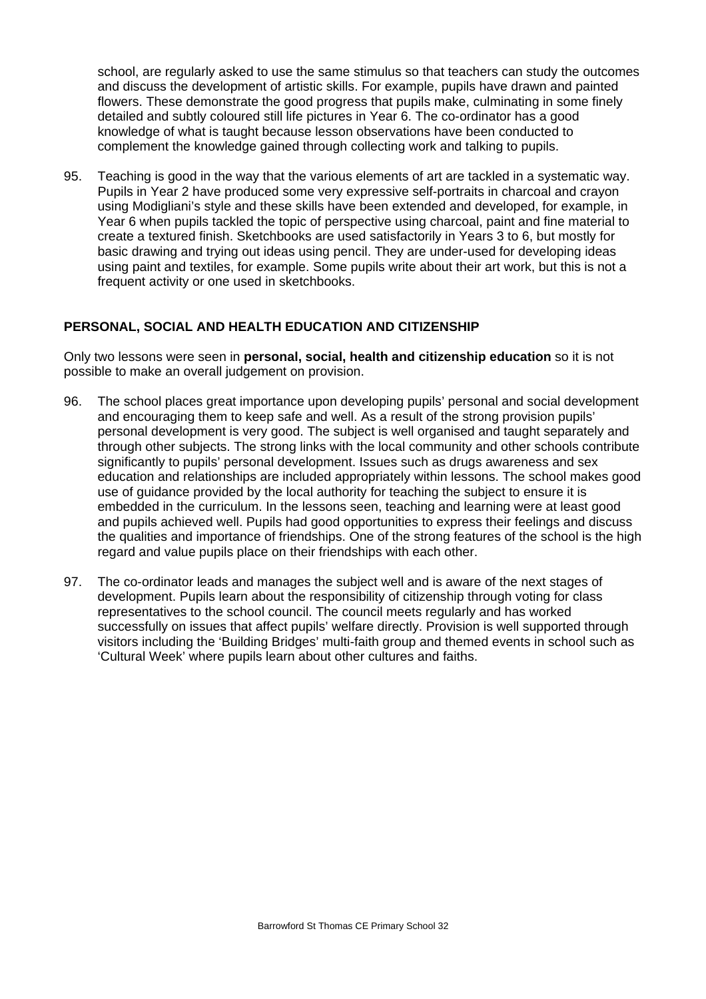school, are regularly asked to use the same stimulus so that teachers can study the outcomes and discuss the development of artistic skills. For example, pupils have drawn and painted flowers. These demonstrate the good progress that pupils make, culminating in some finely detailed and subtly coloured still life pictures in Year 6. The co-ordinator has a good knowledge of what is taught because lesson observations have been conducted to complement the knowledge gained through collecting work and talking to pupils.

95. Teaching is good in the way that the various elements of art are tackled in a systematic way. Pupils in Year 2 have produced some very expressive self-portraits in charcoal and crayon using Modigliani's style and these skills have been extended and developed, for example, in Year 6 when pupils tackled the topic of perspective using charcoal, paint and fine material to create a textured finish. Sketchbooks are used satisfactorily in Years 3 to 6, but mostly for basic drawing and trying out ideas using pencil. They are under-used for developing ideas using paint and textiles, for example. Some pupils write about their art work, but this is not a frequent activity or one used in sketchbooks.

# **PERSONAL, SOCIAL AND HEALTH EDUCATION AND CITIZENSHIP**

Only two lessons were seen in **personal, social, health and citizenship education** so it is not possible to make an overall judgement on provision.

- 96. The school places great importance upon developing pupils' personal and social development and encouraging them to keep safe and well. As a result of the strong provision pupils' personal development is very good. The subject is well organised and taught separately and through other subjects. The strong links with the local community and other schools contribute significantly to pupils' personal development. Issues such as drugs awareness and sex education and relationships are included appropriately within lessons. The school makes good use of guidance provided by the local authority for teaching the subject to ensure it is embedded in the curriculum. In the lessons seen, teaching and learning were at least good and pupils achieved well. Pupils had good opportunities to express their feelings and discuss the qualities and importance of friendships. One of the strong features of the school is the high regard and value pupils place on their friendships with each other.
- 97. The co-ordinator leads and manages the subject well and is aware of the next stages of development. Pupils learn about the responsibility of citizenship through voting for class representatives to the school council. The council meets regularly and has worked successfully on issues that affect pupils' welfare directly. Provision is well supported through visitors including the 'Building Bridges' multi-faith group and themed events in school such as 'Cultural Week' where pupils learn about other cultures and faiths.